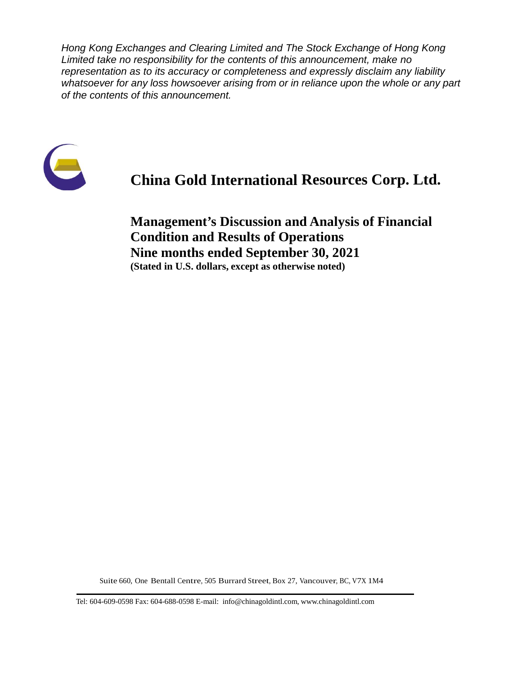*Hong Kong Exchanges and Clearing Limited and The Stock Exchange of Hong Kong Limited take no responsibility for the contents of this announcement, make no representation as to its accuracy or completeness and expressly disclaim any liability whatsoever for any loss howsoever arising from or in reliance upon the whole or any part of the contents of this announcement.*



# **China Gold International Resources Corp. Ltd.**

**Management's Discussion and Analysis of Financial Condition and Results of Operations Nine months ended September 30, 2021 (Stated in U.S. dollars, except as otherwise noted)**

Suite 660, One Bentall Centre, 505 Burrard Street, Box 27, Vancouver, BC, V7X 1M4

Tel: 604-609-0598 Fax: 604-688-0598 E-mail: info@chinagoldintl.com, [www.chinagoldintl.com](http://www.chinagoldintl.com/)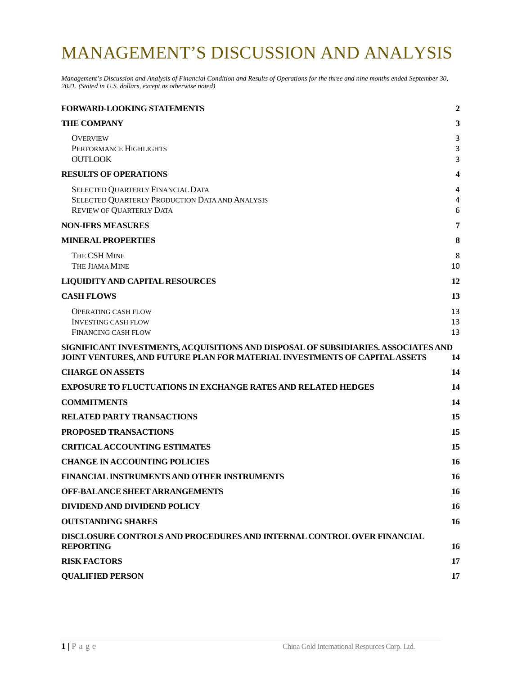# MANAGEMENT'S DISCUSSION AND ANALYSIS

*Management's Discussion and Analysis of Financial Condition and Results of Operations for the three and nine months ended September 30, 2021. (Stated in U.S. dollars, except as otherwise noted)*

| <b>FORWARD-LOOKING STATEMENTS</b>                                                                                                                                | $\overline{2}$ |
|------------------------------------------------------------------------------------------------------------------------------------------------------------------|----------------|
| <b>THE COMPANY</b>                                                                                                                                               | 3              |
| <b>OVERVIEW</b><br>PERFORMANCE HIGHLIGHTS<br><b>OUTLOOK</b>                                                                                                      | 3<br>3<br>3    |
| <b>RESULTS OF OPERATIONS</b>                                                                                                                                     | 4              |
| SELECTED QUARTERLY FINANCIAL DATA<br>SELECTED QUARTERLY PRODUCTION DATA AND ANALYSIS<br><b>REVIEW OF QUARTERLY DATA</b>                                          | 4<br>4<br>6    |
| <b>NON-IFRS MEASURES</b>                                                                                                                                         | 7              |
| <b>MINERAL PROPERTIES</b>                                                                                                                                        | 8              |
| THE CSH MINE<br>THE JIAMA MINE                                                                                                                                   | 8<br>10        |
| <b>LIQUIDITY AND CAPITAL RESOURCES</b>                                                                                                                           | 12             |
| <b>CASH FLOWS</b>                                                                                                                                                | 13             |
| <b>OPERATING CASH FLOW</b><br><b>INVESTING CASH FLOW</b><br><b>FINANCING CASH FLOW</b>                                                                           | 13<br>13<br>13 |
| SIGNIFICANT INVESTMENTS, ACQUISITIONS AND DISPOSAL OF SUBSIDIARIES. ASSOCIATES AND<br>JOINT VENTURES, AND FUTURE PLAN FOR MATERIAL INVESTMENTS OF CAPITAL ASSETS | 14             |
| <b>CHARGE ON ASSETS</b>                                                                                                                                          | 14             |
| <b>EXPOSURE TO FLUCTUATIONS IN EXCHANGE RATES AND RELATED HEDGES</b>                                                                                             | 14             |
| <b>COMMITMENTS</b>                                                                                                                                               | 14             |
| <b>RELATED PARTY TRANSACTIONS</b>                                                                                                                                | 15             |
| PROPOSED TRANSACTIONS                                                                                                                                            | 15             |
| <b>CRITICALACCOUNTING ESTIMATES</b>                                                                                                                              | 15             |
| <b>CHANGE IN ACCOUNTING POLICIES</b>                                                                                                                             | 16             |
| FINANCIAL INSTRUMENTS AND OTHER INSTRUMENTS                                                                                                                      | <b>16</b>      |
| <b>OFF-BALANCE SHEET ARRANGEMENTS</b>                                                                                                                            | 16             |
| DIVIDEND AND DIVIDEND POLICY                                                                                                                                     | 16             |
| <b>OUTSTANDING SHARES</b>                                                                                                                                        | <b>16</b>      |
| DISCLOSURE CONTROLS AND PROCEDURES AND INTERNAL CONTROL OVER FINANCIAL<br><b>REPORTING</b>                                                                       | 16             |
| <b>RISK FACTORS</b>                                                                                                                                              | 17             |
| <b>QUALIFIED PERSON</b>                                                                                                                                          | 17             |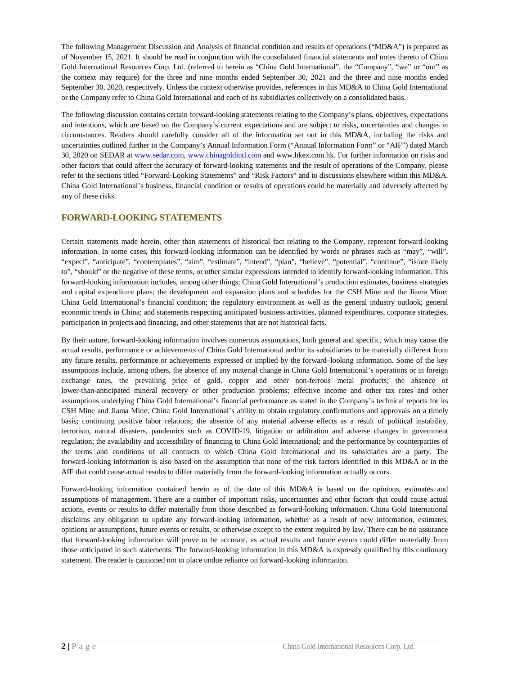The following Management Discussion and Analysis of financial condition and results of operations ("MD&A") is prepared as of November 15, 2021. It should be read in conjunction with the consolidated financial statements and notes thereto of China Gold International Resources Corp. Ltd. (referred to herein as "China Gold International", the "Company", "we" or "our" as the context may require) for the three and nine months ended September 30, 2021 and the three and nine months ended September 30, 2020, respectively. Unless the context otherwise provides, references in this MD&A to China Gold International or the Company refer to China Gold International and each of its subsidiaries collectively on a consolidated basis.

The following discussion contains certain forward-looking statements relating to the Company's plans, objectives, expectations and intentions, which are based on the Company's current expectations and are subject to risks, uncertainties and changes in circumstances. Readers should carefully consider all of the information set out in this MD&A, including the risks and uncertainties outlined further in the Company's Annual Information Form ("Annual Information Form" or "AIF") dated March 30, 2020 on SEDAR at [www.sedar.com,](http://www.sedar.com/) [www.chinagoldintl.com](http://www.chinagoldintl.com/) and www.hkex.com.hk. For further information on risks and other factors that could affect the accuracy of forward-looking statements and the result of operations of the Company, please refer to the sections titled "Forward-Looking Statements" and "Risk Factors" and to discussions elsewhere within this MD&A. China Gold International's business, financial condition or results of operations could be materially and adversely affected by any of these risks.

### <span id="page-2-0"></span>**FORWARD-LOOKING STATEMENTS**

Certain statements made herein, other than statements of historical fact relating to the Company, represent forward-looking information. In some cases, this forward-looking information can be identified by words or phrases such as "may", "will", "expect", "anticipate", "contemplates", "aim", "estimate", "intend", "plan", "believe", "potential", "continue", "is/are likely to", "should" or the negative of these terms, or other similar expressions intended to identify forward-looking information. This forward-looking information includes, among other things; China Gold International's production estimates, business strategies and capital expenditure plans; the development and expansion plans and schedules for the CSH Mine and the Jiama Mine; China Gold International's financial condition; the regulatory environment as well as the general industry outlook; general economic trends in China; and statements respecting anticipated business activities, planned expenditures, corporate strategies, participation in projects and financing, and other statements that are not historical facts.

By their nature, forward-looking information involves numerous assumptions, both general and specific, which may cause the actual results, performance or achievements of China Gold International and/or its subsidiaries to be materially different from any future results, performance or achievements expressed or implied by the forward–looking information. Some of the key assumptions include, among others, the absence of any material change in China Gold International's operations or in foreign exchange rates, the prevailing price of gold, copper and other non-ferrous metal products; the absence of lower-than-anticipated mineral recovery or other production problems; effective income and other tax rates and other assumptions underlying China Gold International's financial performance as stated in the Company's technical reports for its CSH Mine and Jiama Mine; China Gold International's ability to obtain regulatory confirmations and approvals on a timely basis; continuing positive labor relations; the absence of any material adverse effects as a result of political instability, terrorism, natural disasters, pandemics such as COVID-19, litigation or arbitration and adverse changes in government regulation; the availability and accessibility of financing to China Gold International; and the performance by counterparties of the terms and conditions of all contracts to which China Gold International and its subsidiaries are a party. The forward-looking information is also based on the assumption that none of the risk factors identified in this MD&A or in the AIF that could cause actual results to differ materially from the forward-looking information actually occurs.

Forward-looking information contained herein as of the date of this MD&A is based on the opinions, estimates and assumptions of management. There are a number of important risks, uncertainties and other factors that could cause actual actions, events or results to differ materially from those described as forward-looking information. China Gold International disclaims any obligation to update any forward-looking information, whether as a result of new information, estimates, opinions or assumptions, future events or results, or otherwise except to the extent required by law. There can be no assurance that forward-looking information will prove to be accurate, as actual results and future events could differ materially from those anticipated in such statements. The forward-looking information in this MD&A is expressly qualified by this cautionary statement. The reader is cautioned not to place undue reliance on forward-looking information.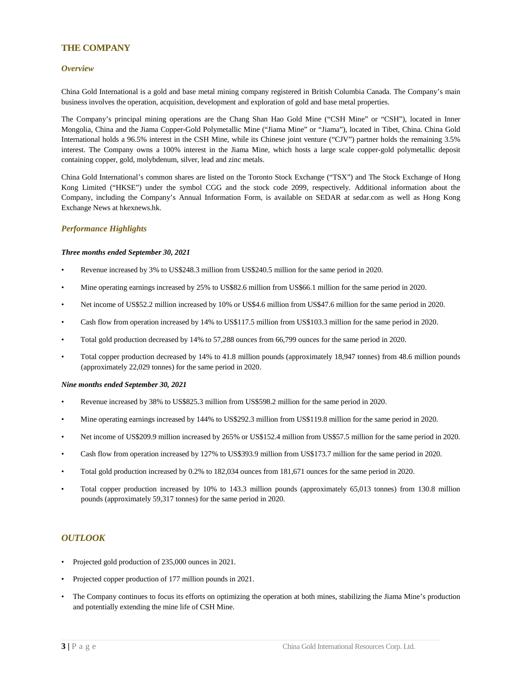### <span id="page-3-0"></span>**THE COMPANY**

### <span id="page-3-1"></span>*Overview*

China Gold International is a gold and base metal mining company registered in British Columbia Canada. The Company's main business involves the operation, acquisition, development and exploration of gold and base metal properties.

The Company's principal mining operations are the Chang Shan Hao Gold Mine ("CSH Mine" or "CSH"), located in Inner Mongolia, China and the Jiama Copper-Gold Polymetallic Mine ("Jiama Mine" or "Jiama"), located in Tibet, China. China Gold International holds a 96.5% interest in the CSH Mine, while its Chinese joint venture ("CJV") partner holds the remaining 3.5% interest. The Company owns a 100% interest in the Jiama Mine, which hosts a large scale copper-gold polymetallic deposit containing copper, gold, molybdenum, silver, lead and zinc metals.

China Gold International's common shares are listed on the Toronto Stock Exchange ("TSX") and The Stock Exchange of Hong Kong Limited ("HKSE") under the symbol CGG and the stock code 2099, respectively. Additional information about the Company, including the Company's Annual Information Form, is available on SEDAR at sedar.com as well as Hong Kong Exchange News at hkexnews.hk.

### <span id="page-3-2"></span>*Performance Highlights*

#### *Three months ended September 30, 2021*

- Revenue increased by 3% to US\$248.3 million from US\$240.5 million for the same period in 2020.
- Mine operating earnings increased by 25% to US\$82.6 million from US\$66.1 million for the same period in 2020.
- Net income of US\$52.2 million increased by 10% or US\$4.6 million from US\$47.6 million for the same period in 2020.
- Cash flow from operation increased by 14% to US\$117.5 million from US\$103.3 million for the same period in 2020.
- Total gold production decreased by 14% to 57,288 ounces from 66,799 ounces for the same period in 2020.
- Total copper production decreased by 14% to 41.8 million pounds (approximately 18,947 tonnes) from 48.6 million pounds (approximately 22,029 tonnes) for the same period in 2020.

#### *Nine months ended September 30, 2021*

- Revenue increased by 38% to US\$825.3 million from US\$598.2 million for the same period in 2020.
- Mine operating earnings increased by 144% to US\$292.3 million from US\$119.8 million for the same period in 2020.
- Net income of US\$209.9 million increased by 265% or US\$152.4 million from US\$57.5 million for the same period in 2020.
- Cash flow from operation increased by 127% to US\$393.9 million from US\$173.7 million for the same period in 2020.
- Total gold production increased by 0.2% to 182,034 ounces from 181,671 ounces for the same period in 2020.
- Total copper production increased by 10% to 143.3 million pounds (approximately 65,013 tonnes) from 130.8 million pounds (approximately 59,317 tonnes) for the same period in 2020.

### <span id="page-3-3"></span>*OUTLOOK*

- Projected gold production of 235,000 ounces in 2021.
- Projected copper production of 177 million pounds in 2021.
- The Company continues to focus its efforts on optimizing the operation at both mines, stabilizing the Jiama Mine's production and potentially extending the mine life of CSH Mine.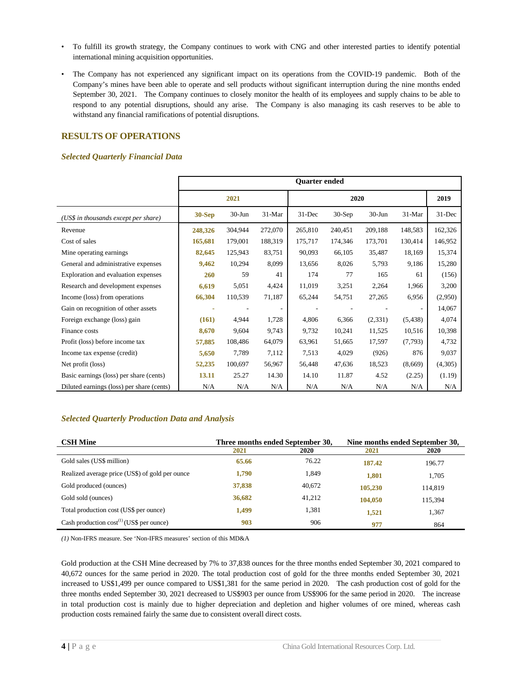- To fulfill its growth strategy, the Company continues to work with CNG and other interested parties to identify potential international mining acquisition opportunities.
- The Company has not experienced any significant impact on its operations from the COVID-19 pandemic. Both of the Company's mines have been able to operate and sell products without significant interruption during the nine months ended September 30, 2021. The Company continues to closely monitor the health of its employees and supply chains to be able to respond to any potential disruptions, should any arise. The Company is also managing its cash reserves to be able to withstand any financial ramifications of potential disruptions.

# <span id="page-4-0"></span>**RESULTS OF OPERATIONS**

### <span id="page-4-1"></span>*Selected Quarterly Financial Data*

|                                           |          |           |         | <b>Ouarter ended</b> |          |            |          |           |
|-------------------------------------------|----------|-----------|---------|----------------------|----------|------------|----------|-----------|
|                                           |          | 2021      |         |                      |          | 2019       |          |           |
| (US\$ in thousands except per share)      | $30-Sep$ | $30-J$ un | 31-Mar  | 31-Dec               | $30-Sep$ | $30 - Jun$ | $31-Mar$ | $31$ -Dec |
| Revenue                                   | 248,326  | 304,944   | 272,070 | 265,810              | 240,451  | 209,188    | 148,583  | 162,326   |
| Cost of sales                             | 165,681  | 179,001   | 188,319 | 175,717              | 174,346  | 173,701    | 130,414  | 146,952   |
| Mine operating earnings.                  | 82,645   | 125,943   | 83,751  | 90,093               | 66,105   | 35,487     | 18,169   | 15,374    |
| General and administrative expenses       | 9,462    | 10,294    | 8,099   | 13,656               | 8,026    | 5,793      | 9,186    | 15,280    |
| Exploration and evaluation expenses       | 260      | 59        | 41      | 174                  | 77       | 165        | 61       | (156)     |
| Research and development expenses         | 6,619    | 5,051     | 4,424   | 11,019               | 3,251    | 2,264      | 1,966    | 3,200     |
| Income (loss) from operations             | 66,304   | 110,539   | 71,187  | 65,244               | 54,751   | 27,265     | 6,956    | (2,950)   |
| Gain on recognition of other assets       |          |           |         |                      |          |            |          | 14,067    |
| Foreign exchange (loss) gain              | (161)    | 4,944     | 1,728   | 4,806                | 6,366    | (2, 331)   | (5, 438) | 4,074     |
| Finance costs                             | 8,670    | 9,604     | 9,743   | 9,732                | 10,241   | 11,525     | 10,516   | 10,398    |
| Profit (loss) before income tax           | 57,885   | 108,486   | 64,079  | 63,961               | 51,665   | 17,597     | (7,793)  | 4,732     |
| Income tax expense (credit)               | 5,650    | 7,789     | 7,112   | 7,513                | 4,029    | (926)      | 876      | 9,037     |
| Net profit (loss)                         | 52,235   | 100,697   | 56,967  | 56,448               | 47,636   | 18,523     | (8,669)  | (4,305)   |
| Basic earnings (loss) per share (cents)   | 13.11    | 25.27     | 14.30   | 14.10                | 11.87    | 4.52       | (2.25)   | (1.19)    |
| Diluted earnings (loss) per share (cents) | N/A      | N/A       | N/A     | N/A                  | N/A      | N/A        | N/A      | N/A       |

### <span id="page-4-2"></span>*Selected Quarterly Production Data and Analysis*

| <b>CSH Mine</b>                                 | Three months ended September 30, |        | Nine months ended September 30, |         |  |
|-------------------------------------------------|----------------------------------|--------|---------------------------------|---------|--|
|                                                 | 2021                             | 2020   | 2021                            | 2020    |  |
| Gold sales (US\$ million)                       | 65.66                            | 76.22  | 187.42                          | 196.77  |  |
| Realized average price (US\$) of gold per ounce | 1,790                            | 1,849  | 1.801                           | 1.705   |  |
| Gold produced (ounces)                          | 37,838                           | 40,672 | 105,230                         | 114,819 |  |
| Gold sold (ounces)                              | 36,682                           | 41,212 | 104,050                         | 115.394 |  |
| Total production cost (US\$ per ounce)          | 1,499                            | 1,381  | 1,521                           | 1,367   |  |
| Cash production $cost^{(1)}$ (US\$ per ounce)   | 903                              | 906    | 977                             | 864     |  |

*(1)* Non-IFRS measure. See 'Non-IFRS measures' section of this MD&A

Gold production at the CSH Mine decreased by 7% to 37,838 ounces for the three months ended September 30, 2021 compared to 40,672 ounces for the same period in 2020. The total production cost of gold for the three months ended September 30, 2021 increased to US\$1,499 per ounce compared to US\$1,381 for the same period in 2020. The cash production cost of gold for the three months ended September 30, 2021 decreased to US\$903 per ounce from US\$906 for the same period in 2020. The increase in total production cost is mainly due to higher depreciation and depletion and higher volumes of ore mined, whereas cash production costs remained fairly the same due to consistent overall direct costs.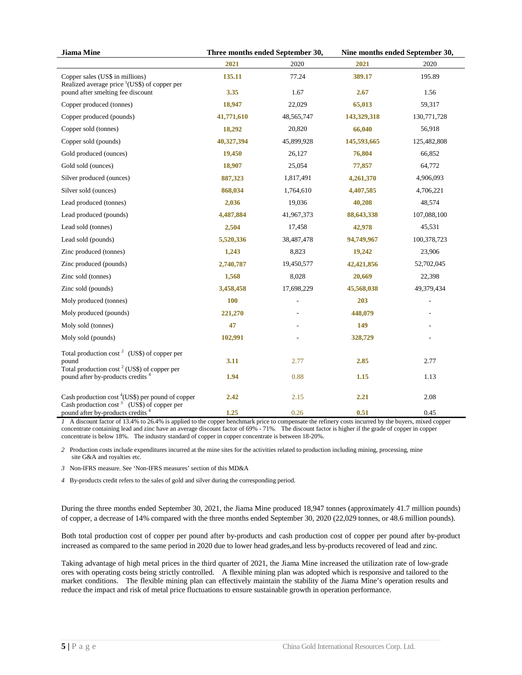| <b>Jiama</b> Mine                                                                                   |            | Three months ended September 30, | Nine months ended September 30, |             |  |
|-----------------------------------------------------------------------------------------------------|------------|----------------------------------|---------------------------------|-------------|--|
|                                                                                                     | 2021       | 2020                             | 2021                            | 2020        |  |
| Copper sales (US\$ in millions)<br>Realized average price $\frac{1}{1}$ (US\$) of copper per        | 135.11     | 77.24                            | 389.17                          | 195.89      |  |
| pound after smelting fee discount                                                                   | 3.35       | 1.67                             | 2.67                            | 1.56        |  |
| Copper produced (tonnes)                                                                            | 18,947     | 22,029                           | 65,013                          | 59,317      |  |
| Copper produced (pounds)                                                                            | 41,771,610 | 48, 565, 747                     | 143,329,318                     | 130,771,728 |  |
| Copper sold (tonnes)                                                                                | 18,292     | 20,820                           | 66,040                          | 56,918      |  |
| Copper sold (pounds)                                                                                | 40,327,394 | 45,899,928                       | 145,593,665                     | 125,482,808 |  |
| Gold produced (ounces)                                                                              | 19,450     | 26,127                           | 76,804                          | 66,852      |  |
| Gold sold (ounces)                                                                                  | 18,907     | 25,054                           | 77,857                          | 64,772      |  |
| Silver produced (ounces)                                                                            | 887,323    | 1,817,491                        | 4,261,370                       | 4,906,093   |  |
| Silver sold (ounces)                                                                                | 868,034    | 1,764,610                        | 4,407,585                       | 4,706,221   |  |
| Lead produced (tonnes)                                                                              | 2,036      | 19,036                           | 40,208                          | 48,574      |  |
| Lead produced (pounds)                                                                              | 4,487,884  | 41,967,373                       | 88,643,338                      | 107,088,100 |  |
| Lead sold (tonnes)                                                                                  | 2,504      | 17,458                           | 42,978                          | 45,531      |  |
| Lead sold (pounds)                                                                                  | 5,520,336  | 38,487,478                       | 94,749,967                      | 100,378,723 |  |
| Zinc produced (tonnes)                                                                              | 1,243      | 8,823                            | 19,242                          | 23,906      |  |
| Zinc produced (pounds)                                                                              | 2,740,787  | 19,450,577                       | 42,421,856                      | 52,702,045  |  |
| Zinc sold (tonnes)                                                                                  | 1,568      | 8,028                            | 20,669                          | 22,398      |  |
| Zinc sold (pounds)                                                                                  | 3,458,458  | 17,698,229                       | 45,568,038                      | 49,379,434  |  |
| Moly produced (tonnes)                                                                              | 100        |                                  | 203                             |             |  |
| Moly produced (pounds)                                                                              | 221,270    |                                  | 448,079                         |             |  |
| Moly sold (tonnes)                                                                                  | 47         |                                  | 149                             |             |  |
| Moly sold (pounds)                                                                                  | 102,991    |                                  | 328,729                         |             |  |
| Total production cost <sup>2</sup> (US\$) of copper per                                             |            |                                  |                                 |             |  |
| pound                                                                                               | 3.11       | 2.77                             | 2.85                            | 2.77        |  |
| Total production cost $2$ (US\$) of copper per<br>pound after by-products credits <sup>4</sup>      | 1.94       | 0.88                             | 1.15                            | 1.13        |  |
| Cash production $cost^4(US\$ ) per pound of copper<br>Cash production $\cos^3$ (US\$) of copper per | 2.42       | 2.15                             | 2.21                            | 2.08        |  |
| pound after by-products credits <sup>4</sup>                                                        | 1.25       | 0.26                             | 0.51                            | 0.45        |  |

*1* A discount factor of 13.4% to 26.4% is applied to the copper benchmark price to compensate the refinery costs incurred by the buyers, mixed copper concentrate containing lead and zinc have an average discount factor of 69% - 71%. The discount factor is higher if the grade of copper in copper concentrate is below 18%. The industry standard of copper in copper concentrate is between 18-20%.

*2* Production costs include expenditures incurred at the mine sites for the activities related to production including mining, processing, mine site G&A and royalties etc.

*3* Non-IFRS measure. See 'Non-IFRS measures' section of this MD&A

*4* By-products credit refers to the sales of gold and silver during the corresponding period.

During the three months ended September 30, 2021, the Jiama Mine produced 18,947 tonnes (approximately 41.7 million pounds) of copper, a decrease of 14% compared with the three months ended September 30, 2020 (22,029 tonnes, or 48.6 million pounds).

Both total production cost of copper per pound after by-products and cash production cost of copper per pound after by-product increased as compared to the same period in 2020 due to lower head grades,and less by-products recovered of lead and zinc.

Taking advantage of high metal prices in the third quarter of 2021, the Jiama Mine increased the utilization rate of low-grade ores with operating costs being strictly controlled. A flexible mining plan was adopted which is responsive and tailored to the market conditions. The flexible mining plan can effectively maintain the stability of the Jiama Mine's operation results and reduce the impact and risk of metal price fluctuations to ensure sustainable growth in operation performance.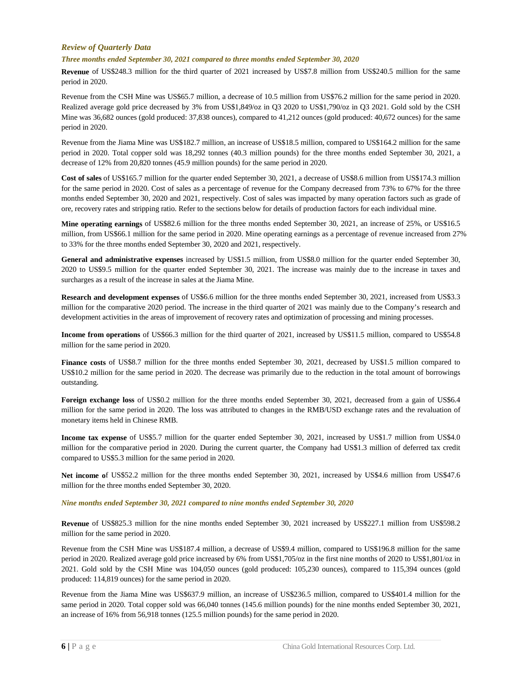### <span id="page-6-0"></span>*Review of Quarterly Data*

### *Three months ended September 30, 2021 compared to three months ended September 30, 2020*

**Revenue** of US\$248.3 million for the third quarter of 2021 increased by US\$7.8 million from US\$240.5 million for the same period in 2020.

Revenue from the CSH Mine was US\$65.7 million, a decrease of 10.5 million from US\$76.2 million for the same period in 2020. Realized average gold price decreased by 3% from US\$1,849/oz in Q3 2020 to US\$1,790/oz in Q3 2021. Gold sold by the CSH Mine was 36,682 ounces (gold produced: 37,838 ounces), compared to 41,212 ounces (gold produced: 40,672 ounces) for the same period in 2020.

Revenue from the Jiama Mine was US\$182.7 million, an increase of US\$18.5 million, compared to US\$164.2 million for the same period in 2020. Total copper sold was 18,292 tonnes (40.3 million pounds) for the three months ended September 30, 2021, a decrease of 12% from 20,820 tonnes (45.9 million pounds) for the same period in 2020.

**Cost of sales** of US\$165.7 million for the quarter ended September 30, 2021, a decrease of US\$8.6 million from US\$174.3 million for the same period in 2020. Cost of sales as a percentage of revenue for the Company decreased from 73% to 67% for the three months ended September 30, 2020 and 2021, respectively. Cost of sales was impacted by many operation factors such as grade of ore, recovery rates and stripping ratio. Refer to the sections below for details of production factors for each individual mine.

**Mine operating earnings** of US\$82.6 million for the three months ended September 30, 2021, an increase of 25%, or US\$16.5 million, from US\$66.1 million for the same period in 2020. Mine operating earnings as a percentage of revenue increased from 27% to 33% for the three months ended September 30, 2020 and 2021, respectively.

**General and administrative expenses** increased by US\$1.5 million, from US\$8.0 million for the quarter ended September 30, 2020 to US\$9.5 million for the quarter ended September 30, 2021. The increase was mainly due to the increase in taxes and surcharges as a result of the increase in sales at the Jiama Mine.

**Research and development expenses** of US\$6.6 million for the three months ended September 30, 2021, increased from US\$3.3 million for the comparative 2020 period. The increase in the third quarter of 2021 was mainly due to the Company's research and development activities in the areas of improvement of recovery rates and optimization of processing and mining processes.

**Income from operations** of US\$66.3 million for the third quarter of 2021, increased by US\$11.5 million, compared to US\$54.8 million for the same period in 2020.

**Finance costs** of US\$8.7 million for the three months ended September 30, 2021, decreased by US\$1.5 million compared to US\$10.2 million for the same period in 2020. The decrease was primarily due to the reduction in the total amount of borrowings outstanding.

**Foreign exchange loss** of US\$0.2 million for the three months ended September 30, 2021, decreased from a gain of US\$6.4 million for the same period in 2020. The loss was attributed to changes in the RMB/USD exchange rates and the revaluation of monetary items held in Chinese RMB.

**Income tax expense** of US\$5.7 million for the quarter ended September 30, 2021, increased by US\$1.7 million from US\$4.0 million for the comparative period in 2020. During the current quarter, the Company had US\$1.3 million of deferred tax credit compared to US\$5.3 million for the same period in 2020.

**Net income o**f US\$52.2 million for the three months ended September 30, 2021, increased by US\$4.6 million from US\$47.6 million for the three months ended September 30, 2020.

#### *Nine months ended September 30, 2021 compared to nine months ended September 30, 2020*

**Revenue** of US\$825.3 million for the nine months ended September 30, 2021 increased by US\$227.1 million from US\$598.2 million for the same period in 2020.

Revenue from the CSH Mine was US\$187.4 million, a decrease of US\$9.4 million, compared to US\$196.8 million for the same period in 2020. Realized average gold price increased by 6% from US\$1,705/oz in the first nine months of 2020 to US\$1,801/oz in 2021. Gold sold by the CSH Mine was 104,050 ounces (gold produced: 105,230 ounces), compared to 115,394 ounces (gold produced: 114,819 ounces) for the same period in 2020.

Revenue from the Jiama Mine was US\$637.9 million, an increase of US\$236.5 million, compared to US\$401.4 million for the same period in 2020. Total copper sold was 66,040 tonnes (145.6 million pounds) for the nine months ended September 30, 2021, an increase of 16% from 56,918 tonnes (125.5 million pounds) for the same period in 2020.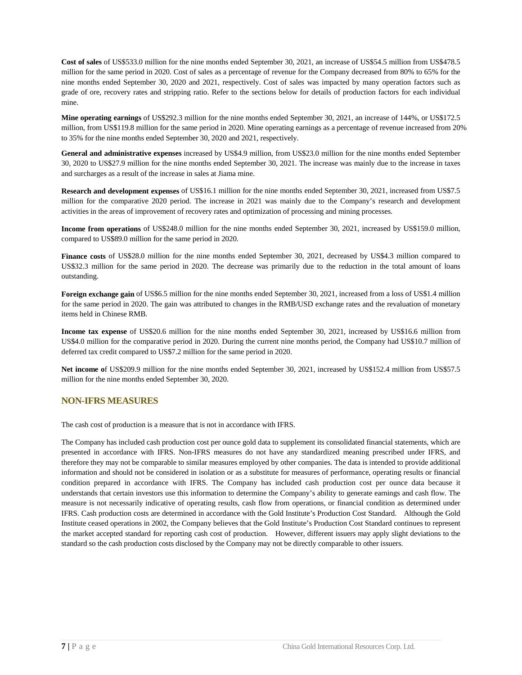**Cost of sales** of US\$533.0 million for the nine months ended September 30, 2021, an increase of US\$54.5 million from US\$478.5 million for the same period in 2020. Cost of sales as a percentage of revenue for the Company decreased from 80% to 65% for the nine months ended September 30, 2020 and 2021, respectively. Cost of sales was impacted by many operation factors such as grade of ore, recovery rates and stripping ratio. Refer to the sections below for details of production factors for each individual mine.

**Mine operating earnings** of US\$292.3 million for the nine months ended September 30, 2021, an increase of 144%, or US\$172.5 million, from US\$119.8 million for the same period in 2020. Mine operating earnings as a percentage of revenue increased from 20% to 35% for the nine months ended September 30, 2020 and 2021, respectively.

**General and administrative expenses** increased by US\$4.9 million, from US\$23.0 million for the nine months ended September 30, 2020 to US\$27.9 million for the nine months ended September 30, 2021. The increase was mainly due to the increase in taxes and surcharges as a result of the increase in sales at Jiama mine.

**Research and development expenses** of US\$16.1 million for the nine months ended September 30, 2021, increased from US\$7.5 million for the comparative 2020 period. The increase in 2021 was mainly due to the Company's research and development activities in the areas of improvement of recovery rates and optimization of processing and mining processes.

**Income from operations** of US\$248.0 million for the nine months ended September 30, 2021, increased by US\$159.0 million, compared to US\$89.0 million for the same period in 2020.

**Finance costs** of US\$28.0 million for the nine months ended September 30, 2021, decreased by US\$4.3 million compared to US\$32.3 million for the same period in 2020. The decrease was primarily due to the reduction in the total amount of loans outstanding.

**Foreign exchange gain** of US\$6.5 million for the nine months ended September 30, 2021, increased from a loss of US\$1.4 million for the same period in 2020. The gain was attributed to changes in the RMB/USD exchange rates and the revaluation of monetary items held in Chinese RMB.

**Income tax expense** of US\$20.6 million for the nine months ended September 30, 2021, increased by US\$16.6 million from US\$4.0 million for the comparative period in 2020. During the current nine months period, the Company had US\$10.7 million of deferred tax credit compared to US\$7.2 million for the same period in 2020.

**Net income o**f US\$209.9 million for the nine months ended September 30, 2021, increased by US\$152.4 million from US\$57.5 million for the nine months ended September 30, 2020.

### <span id="page-7-0"></span>**NON-IFRS MEASURES**

The cash cost of production is a measure that is not in accordance with IFRS.

The Company has included cash production cost per ounce gold data to supplement its consolidated financial statements, which are presented in accordance with IFRS. Non-IFRS measures do not have any standardized meaning prescribed under IFRS, and therefore they may not be comparable to similar measures employed by other companies. The data is intended to provide additional information and should not be considered in isolation or as a substitute for measures of performance, operating results or financial condition prepared in accordance with IFRS. The Company has included cash production cost per ounce data because it understands that certain investors use this information to determine the Company's ability to generate earnings and cash flow. The measure is not necessarily indicative of operating results, cash flow from operations, or financial condition as determined under IFRS. Cash production costs are determined in accordance with the Gold Institute's Production Cost Standard. Although the Gold Institute ceased operations in 2002, the Company believes that the Gold Institute's Production Cost Standard continues to represent the market accepted standard for reporting cash cost of production. However, different issuers may apply slight deviations to the standard so the cash production costs disclosed by the Company may not be directly comparable to other issuers.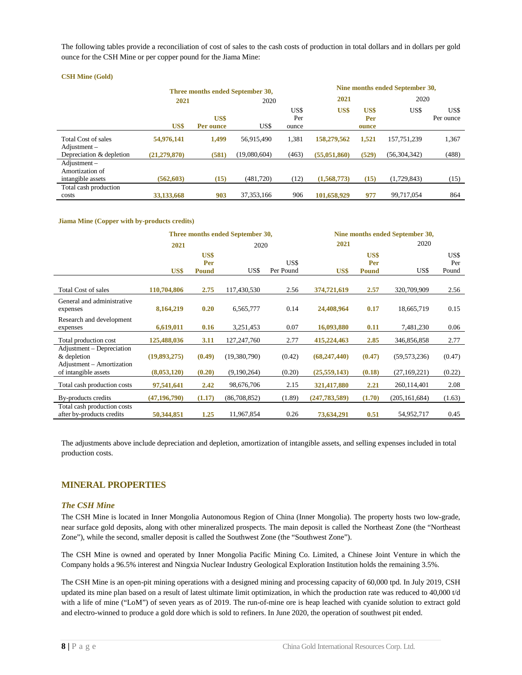The following tables provide a reconciliation of cost of sales to the cash costs of production in total dollars and in dollars per gold ounce for the CSH Mine or per copper pound for the Jiama Mine:

#### **CSH Mine (Gold)**

|                                                           |              |                   | Three months ended September 30, |                      |              | Nine months ended September 30, |                |                   |  |  |
|-----------------------------------------------------------|--------------|-------------------|----------------------------------|----------------------|--------------|---------------------------------|----------------|-------------------|--|--|
|                                                           | 2021         |                   | 2020                             |                      | 2021         |                                 | 2020           |                   |  |  |
|                                                           | US\$         | US\$<br>Per ounce | US\$                             | US\$<br>Per<br>ounce | US\$         | US\$<br>Per<br>ounce            | US\$           | US\$<br>Per ounce |  |  |
| <b>Total Cost of sales</b><br>$\text{Adjustment}$ –       | 54,976,141   | 1.499             | 56,915,490                       | 1,381                | 158,279,562  | 1,521                           | 157,751,239    | 1,367             |  |  |
| Depreciation & depletion                                  | (21,279,870) | (581)             | (19,080,604)                     | (463)                | (55,051,860) | (529)                           | (56, 304, 342) | (488)             |  |  |
| $Adi$ ustment $-$<br>Amortization of<br>intangible assets | (562, 603)   | (15)              | (481,720)                        | (12)                 | (1,568,773)  | (15)                            | (1,729,843)    | (15)              |  |  |
| Total cash production<br>costs                            | 33,133,668   | 903               | 37.353.166                       | 906                  | 101,658,929  | 977                             | 99.717.054     | 864               |  |  |

#### **Jiama Mine (Copper with by-products credits)**

|                                                                       |                |                             | Three months ended September 30, |                   | Nine months ended September 30, |                             |                 |                      |  |
|-----------------------------------------------------------------------|----------------|-----------------------------|----------------------------------|-------------------|---------------------------------|-----------------------------|-----------------|----------------------|--|
|                                                                       | 2021           |                             | 2020                             |                   | 2021                            |                             | 2020            |                      |  |
|                                                                       | US\$           | US\$<br>Per<br><b>Pound</b> | US\$                             | US\$<br>Per Pound | US\$                            | US\$<br>Per<br><b>Pound</b> | US\$            | US\$<br>Per<br>Pound |  |
| <b>Total Cost of sales</b>                                            | 110,704,806    | 2.75                        | 117,430,530                      | 2.56              | 374,721,619                     | 2.57                        | 320,709,909     | 2.56                 |  |
| General and administrative<br>expenses                                | 8,164,219      | 0.20                        | 6,565,777                        | 0.14              | 24,408,964                      | 0.17                        | 18,665,719      | 0.15                 |  |
| Research and development<br>expenses                                  | 6,619,011      | 0.16                        | 3,251,453                        | 0.07              | 16,093,880                      | 0.11                        | 7,481,230       | 0.06                 |  |
| Total production cost                                                 | 125,488,036    | 3.11                        | 127, 247, 760                    | 2.77              | 415,224,463                     | 2.85                        | 346,856,858     | 2.77                 |  |
| Adjustment – Depreciation<br>& depletion<br>Adjustment – Amortization | (19,893,275)   | (0.49)                      | (19,380,790)                     | (0.42)            | (68, 247, 440)                  | (0.47)                      | (59, 573, 236)  | (0.47)               |  |
| of intangible assets                                                  | (8,053,120)    | (0.20)                      | (9,190,264)                      | (0.20)            | (25,559,143)                    | (0.18)                      | (27, 169, 221)  | (0.22)               |  |
| Total cash production costs                                           | 97,541,641     | 2.42                        | 98,676,706                       | 2.15              | 321,417,880                     | 2.21                        | 260,114,401     | 2.08                 |  |
| By-products credits                                                   | (47, 196, 790) | (1.17)                      | (86,708,852)                     | (1.89)            | (247, 783, 589)                 | (1.70)                      | (205, 161, 684) | (1.63)               |  |
| Total cash production costs<br>after by-products credits              | 50,344,851     | 1.25                        | 11,967,854                       | 0.26              | 73,634,291                      | 0.51                        | 54,952,717      | 0.45                 |  |

The adjustments above include depreciation and depletion, amortization of intangible assets, and selling expenses included in total production costs.

### <span id="page-8-0"></span>**MINERAL PROPERTIES**

### <span id="page-8-1"></span>*The CSH Mine*

The CSH Mine is located in Inner Mongolia Autonomous Region of China (Inner Mongolia). The property hosts two low-grade, near surface gold deposits, along with other mineralized prospects. The main deposit is called the Northeast Zone (the "Northeast Zone"), while the second, smaller deposit is called the Southwest Zone (the "Southwest Zone").

The CSH Mine is owned and operated by Inner Mongolia Pacific Mining Co. Limited, a Chinese Joint Venture in which the Company holds a 96.5% interest and Ningxia Nuclear Industry Geological Exploration Institution holds the remaining 3.5%.

The CSH Mine is an open-pit mining operations with a designed mining and processing capacity of 60,000 tpd. In July 2019, CSH updated its mine plan based on a result of latest ultimate limit optimization, in which the production rate was reduced to 40,000 t/d with a life of mine ("LoM") of seven years as of 2019. The run-of-mine ore is heap leached with cyanide solution to extract gold and electro-winned to produce a gold dore which is sold to refiners. In June 2020, the operation of southwest pit ended.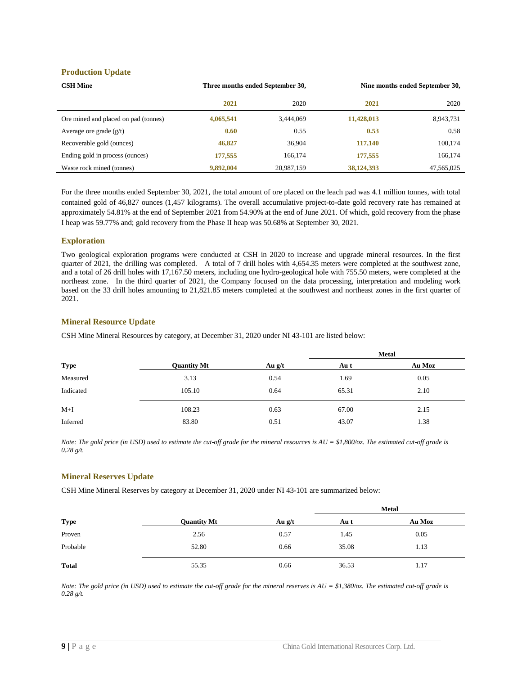### **Production Update**

| <b>CSH Mine</b>                      | Three months ended September 30, |            |            | Nine months ended September 30, |
|--------------------------------------|----------------------------------|------------|------------|---------------------------------|
|                                      | 2021                             | 2020       | 2021       | 2020                            |
| Ore mined and placed on pad (tonnes) | 4,065,541                        | 3,444,069  | 11,428,013 | 8,943,731                       |
| Average ore grade $(g/t)$            | 0.60                             | 0.55       | 0.53       | 0.58                            |
| Recoverable gold (ounces)            | 46,827                           | 36,904     | 117,140    | 100,174                         |
| Ending gold in process (ounces)      | 177,555                          | 166,174    | 177,555    | 166,174                         |
| Waste rock mined (tonnes)            | 9,892,004                        | 20.987.159 | 38,124,393 | 47,565,025                      |

For the three months ended September 30, 2021, the total amount of ore placed on the leach pad was 4.1 million tonnes, with total contained gold of 46,827 ounces (1,457 kilograms). The overall accumulative project-to-date gold recovery rate has remained at approximately 54.81% at the end of September 2021 from 54.90% at the end of June 2021. Of which, gold recovery from the phase I heap was 59.77% and; gold recovery from the Phase II heap was 50.68% at September 30, 2021.

### **Exploration**

Two geological exploration programs were conducted at CSH in 2020 to increase and upgrade mineral resources. In the first quarter of 2021, the drilling was completed. A total of 7 drill holes with 4,654.35 meters were completed at the southwest zone, and a total of 26 drill holes with 17,167.50 meters, including one hydro-geological hole with 755.50 meters, were completed at the northeast zone. In the third quarter of 2021, the Company focused on the data processing, interpretation and modeling work based on the 33 drill holes amounting to 21,821.85 meters completed at the southwest and northeast zones in the first quarter of 2021.

### **Mineral Resource Update**

CSH Mine Mineral Resources by category, at December 31, 2020 under NI 43-101 are listed below:

|             |                    |          | <b>Metal</b> |        |  |  |
|-------------|--------------------|----------|--------------|--------|--|--|
| <b>Type</b> | <b>Quantity Mt</b> | Au $g/t$ | Au t         | Au Moz |  |  |
| Measured    | 3.13               | 0.54     | 1.69         | 0.05   |  |  |
| Indicated   | 105.10             | 0.64     | 65.31        | 2.10   |  |  |
| $M+I$       | 108.23             | 0.63     | 67.00        | 2.15   |  |  |
| Inferred    | 83.80              | 0.51     | 43.07        | 1.38   |  |  |

*Note: The gold price (in USD) used to estimate the cut-off grade for the mineral resources is AU = \$1,800/oz. The estimated cut-off grade is 0.28 g/t.*

### **Mineral Reserves Update**

CSH Mine Mineral Reserves by category at December 31, 2020 under NI 43-101 are summarized below:

|              |                    |          | <b>Metal</b> |        |  |
|--------------|--------------------|----------|--------------|--------|--|
| <b>Type</b>  | <b>Quantity Mt</b> | Au $g/t$ | Au t         | Au Moz |  |
| Proven       | 2.56               | 0.57     | 1.45         | 0.05   |  |
| Probable     | 52.80              | 0.66     | 35.08        | 1.13   |  |
| <b>Total</b> | 55.35              | 0.66     | 36.53        | 1.17   |  |

*Note: The gold price (in USD) used to estimate the cut-off grade for the mineral reserves is AU = \$1,380/oz. The estimated cut-off grade is 0.28 g/t.*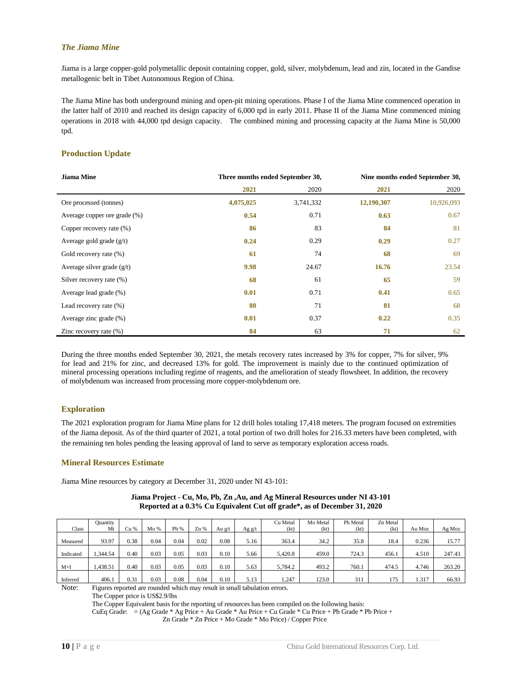### <span id="page-10-0"></span>*The Jiama Mine*

Jiama is a large copper-gold polymetallic deposit containing copper, gold, silver, molybdenum, lead and zin, located in the Gandise metallogenic belt in Tibet Autonomous Region of China.

The Jiama Mine has both underground mining and open-pit mining operations. Phase I of the Jiama Mine commenced operation in the latter half of 2010 and reached its design capacity of 6,000 tpd in early 2011. Phase II of the Jiama Mine commenced mining operations in 2018 with 44,000 tpd design capacity. The combined mining and processing capacity at the Jiama Mine is 50,000 tpd.

### **Production Update**

| <b>Jiama Mine</b>            |           | Three months ended September 30, | Nine months ended September 30, |            |  |  |
|------------------------------|-----------|----------------------------------|---------------------------------|------------|--|--|
|                              | 2021      | 2020                             | 2021                            | 2020       |  |  |
| Ore processed (tonnes)       | 4,075,025 | 3,741,332                        | 12,190,307                      | 10,926,093 |  |  |
| Average copper ore grade (%) | 0.54      | 0.71                             | 0.63                            | 0.67       |  |  |
| Copper recovery rate (%)     | 86        | 83                               | 84                              | 81         |  |  |
| Average gold grade $(g/t)$   | 0.24      | 0.29                             | 0.29                            | 0.27       |  |  |
| Gold recovery rate (%)       | 61        | 74                               | 68                              | 69         |  |  |
| Average silver grade $(g/t)$ | 9.98      | 24.67                            | 16.76                           | 23.54      |  |  |
| Silver recovery rate (%)     | 68        | 61                               | 65                              | 59         |  |  |
| Average lead grade (%)       | 0.01      | 0.71                             | 0.41                            | 0.65       |  |  |
| Lead recovery rate (%)       | 80        | 71                               | 81                              | 68         |  |  |
| Average zinc grade (%)       | 0.01      | 0.37                             | 0.22                            | 0.35       |  |  |
| Zinc recovery rate $(\%)$    | 84        | 63                               | 71                              | 62         |  |  |

During the three months ended September 30, 2021, the metals recovery rates increased by 3% for copper, 7% for silver, 9% for lead and 21% for zinc, and decreased 13% for gold. The improvement is mainly due to the continued optimization of mineral processing operations including regime of reagents, and the amelioration of steady flowsheet. In addition, the recovery of molybdenum was increased from processing more copper-molybdenum ore.

### **Exploration**

The 2021 exploration program for Jiama Mine plans for 12 drill holes totaling 17,418 meters. The program focused on extremities of the Jiama deposit. As of the third quarter of 2021, a total portion of two drill holes for 216.33 meters have been completed, with the remaining ten holes pending the leasing approval of land to serve as temporary exploration access roads.

### **Mineral Resources Estimate**

Jiama Mine resources by category at December 31, 2020 under NI 43-101:

|              | <b>Quantity</b> |      |      |      |      |          |          | Cu Metal | Mo Metal | Pb Metal | Zn Metal |        |        |
|--------------|-----------------|------|------|------|------|----------|----------|----------|----------|----------|----------|--------|--------|
| <b>Class</b> | Mt              | Cu % | Mo%  | Pb % | Zn%  | Au $g/t$ | Ag $g/t$ | (kt)     | (kt)     | (kt)     | (kt)     | Au Moz | Ag Moz |
|              |                 |      |      |      |      |          |          |          |          |          |          |        |        |
| Measured     | 93.97           | 0.38 | 0.04 | 0.04 | 0.02 | 0.08     | 5.16     | 363.4    | 34.2     | 35.8     | 18.4     | 0.236  | 15.77  |
|              |                 |      |      |      |      |          |          |          |          |          |          |        |        |
| Indicated    | .344.54         | 0.40 | 0.03 | 0.05 | 0.03 | 0.10     | 5.66     | 5.420.8  | 459.0    | 724.3    | 456.1    | 4.510  | 247.43 |
|              |                 |      |      |      |      |          |          |          |          |          |          |        |        |
| $M+I$        | 1.438.51        | 0.40 | 0.03 | 0.05 | 0.03 | 0.10     | 5.63     | 5,784.2  | 493.2    | 760.1    | 474.5    | 4.746  | 263.20 |
|              |                 |      |      |      |      |          |          |          |          |          |          |        |        |
| Inferred     | 406.1           | 0.31 | 0.03 | 0.08 | 0.04 | 0.10     | 5.13     | .,247    | 123.0    | 311      | 175      | 1.317  | 66.93  |

### **Jiama Project - Cu, Mo, Pb, Zn ,Au, and Ag Mineral Resources under NI 43-101 Reported at a 0.3% Cu Equivalent Cut off grade\*, as of December 31, 2020**

Note: Figures reported are rounded which may result in small tabulation errors.

The Copper price is US\$2.9/lbs

The Copper Equivalent basis for the reporting of resources has been compiled on the following basis:

CuEq Grade: = (Ag Grade \* Ag Price + Au Grade \* Au Price + Cu Grade \* Cu Price + Pb Grade \* Pb Price +

Zn Grade \* Zn Price + Mo Grade \* Mo Price) / Copper Price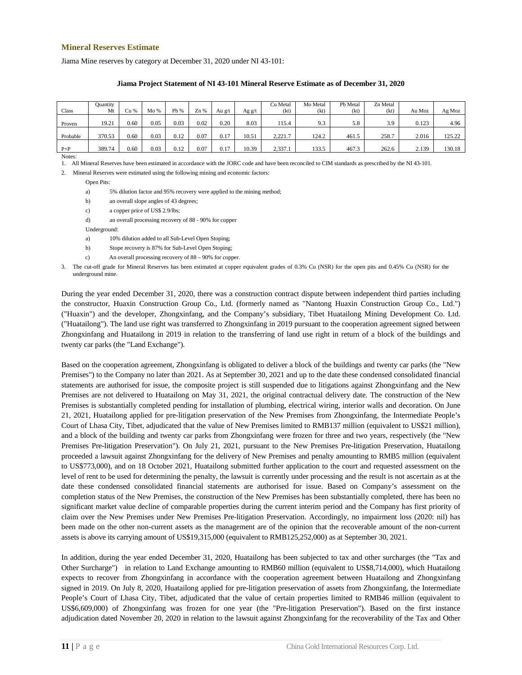### **Mineral Reserves Estimate**

Jiama Mine reserves by category at December 31, 2020 under NI 43-101:

|          | Quantity |      |      |      |      |        |        | Cu Metal | Mo Metal | Pb Metal | Zn Metal |        |        |
|----------|----------|------|------|------|------|--------|--------|----------|----------|----------|----------|--------|--------|
| Class    | Mt       | Cu % | Mo%  | Pb % | Zn%  | Au g/t | Ag g/t | (kt)     | (kt)     | (kt)     | (kt)     | Au Moz | Ag Moz |
|          |          |      |      |      |      |        |        |          |          |          |          |        |        |
| Proven   | 19.21    | 0.60 | 0.05 | 0.03 | 0.02 | 0.20   | 8.03   | 115.4    | 9.3      | 5.8      | 3.9      | 0.123  | 4.96   |
|          |          |      |      |      |      |        |        |          |          |          |          |        |        |
| Probable | 370.53   | 0.60 | 0.03 | 0.12 | 0.07 | 0.17   | 10.51  | 2.221.7  | 124.2    | 461.5    | 258.7    | 2.016  | 125.22 |
|          |          |      |      |      |      |        |        |          |          |          |          |        |        |
| $P+P$    | 389.74   | 0.60 | 0.03 | 0.12 | 0.07 | 0.17   | 10.39  | 2,337.1  | 133.5    | 467.3    | 262.6    | 2.139  | 130.18 |

#### **Jiama Project Statement of NI 43-101 Mineral Reserve Estimate as of December 31, 2020**

Notes:

1. All Mineral Reserves have been estimated in accordance with the JORC code and have been reconciled to CIM standards as prescribed by the NI 43-101.

2. Mineral Reserves were estimated using the following mining and economic factors:

Open Pits:

a) 5% dilution factor and 95% recovery were applied to the mining method;

b) an overall slope angles of 43 degrees;

- c) a copper price of US\$ 2.9/lbs;
- d) an overall processing recovery of 88 90% for copper

Underground:

- a) 10% dilution added to all Sub-Level Open Stoping;
- b) Stope recovery is 87% for Sub-Level Open Stoping;
- c) An overall processing recovery of 88 90% for copper.

3. The cut-off grade for Mineral Reserves has been estimated at copper equivalent grades of 0.3% Cu (NSR) for the open pits and 0.45% Cu (NSR) for the underground mine.

During the year ended December 31, 2020, there was a construction contract dispute between independent third parties including the constructor, Huaxin Construction Group Co., Ltd. (formerly named as "Nantong Huaxin Construction Group Co., Ltd.") ("Huaxin") and the developer, Zhongxinfang, and the Company's subsidiary, Tibet Huatailong Mining Development Co. Ltd. ("Huatailong"). The land use right was transferred to Zhongxinfang in 2019 pursuant to the cooperation agreement signed between Zhongxinfang and Huatailong in 2019 in relation to the transferring of land use right in return of a block of the buildings and twenty car parks (the "Land Exchange").

Based on the cooperation agreement, Zhongxinfang is obligated to deliver a block of the buildings and twenty car parks (the "New Premises") to the Company no later than 2021. As at September 30, 2021 and up to the date these condensed consolidated financial statements are authorised for issue, the composite project is still suspended due to litigations against Zhongxinfang and the New Premises are not delivered to Huatailong on May 31, 2021, the original contractual delivery date. The construction of the New Premises is substantially completed pending for installation of plumbing, electrical wiring, interior walls and decoration. On June 21, 2021, Huatailong applied for pre-litigation preservation of the New Premises from Zhongxinfang, the Intermediate People's Court of Lhasa City, Tibet, adjudicated that the value of New Premises limited to RMB137 million (equivalent to US\$21 million), and a block of the building and twenty car parks from Zhongxinfang were frozen for three and two years, respectively (the "New Premises Pre-litigation Preservation"). On July 21, 2021, pursuant to the New Premises Pre-litigation Preservation, Huatailong proceeded a lawsuit against Zhongxinfang for the delivery of New Premises and penalty amounting to RMB5 million (equivalent to US\$773,000), and on 18 October 2021, Huatailong submitted further application to the court and requested assessment on the level of rent to be used for determining the penalty, the lawsuit is currently under processing and the result is not ascertain as at the date these condensed consolidated financial statements are authorised for issue. Based on Company's assessment on the completion status of the New Premises, the construction of the New Premises has been substantially completed, there has been no significant market value decline of comparable properties during the current interim period and the Company has first priority of claim over the New Premises under New Premises Pre-litigation Preservation. Accordingly, no impairment loss (2020: nil) has been made on the other non-current assets as the management are of the opinion that the recoverable amount of the non-current assets is above its carrying amount of US\$19,315,000 (equivalent to RMB125,252,000) as at September 30, 2021.

In addition, during the year ended December 31, 2020, Huatailong has been subjected to tax and other surcharges (the "Tax and Other Surcharge") in relation to Land Exchange amounting to RMB60 million (equivalent to US\$8,714,000), which Huatailong expects to recover from Zhongxinfang in accordance with the cooperation agreement between Huatailong and Zhongxinfang signed in 2019. On July 8, 2020, Huatailong applied for pre-litigation preservation of assets from Zhongxinfang, the Intermediate People's Court of Lhasa City, Tibet, adjudicated that the value of certain properties limited to RMB46 million (equivalent to US\$6,609,000) of Zhongxinfang was frozen for one year (the "Pre-litigation Preservation"). Based on the first instance adjudication dated November 20, 2020 in relation to the lawsuit against Zhongxinfang for the recoverability of the Tax and Other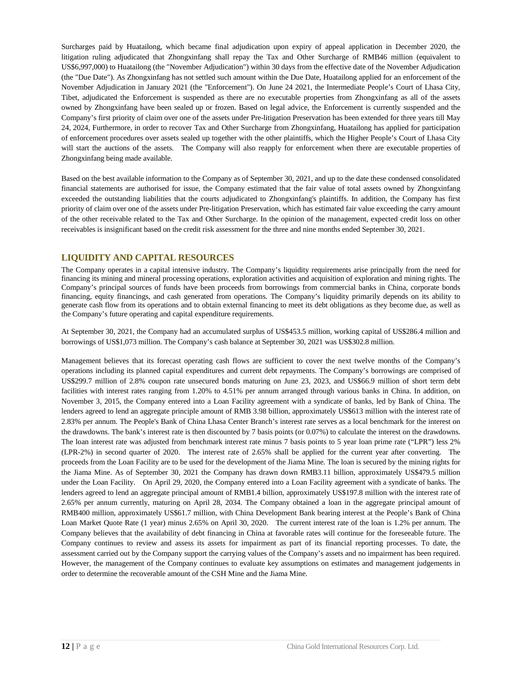Surcharges paid by Huatailong, which became final adjudication upon expiry of appeal application in December 2020, the litigation ruling adjudicated that Zhongxinfang shall repay the Tax and Other Surcharge of RMB46 million (equivalent to US\$6,997,000) to Huatailong (the "November Adjudication") within 30 days from the effective date of the November Adjudication (the "Due Date"). As Zhongxinfang has not settled such amount within the Due Date, Huatailong applied for an enforcement of the November Adjudication in January 2021 (the "Enforcement"). On June 24 2021, the Intermediate People's Court of Lhasa City, Tibet, adjudicated the Enforcement is suspended as there are no executable properties from Zhongxinfang as all of the assets owned by Zhongxinfang have been sealed up or frozen. Based on legal advice, the Enforcement is currently suspended and the Company's first priority of claim over one of the assets under Pre-litigation Preservation has been extended for three years till May 24, 2024, Furthermore, in order to recover Tax and Other Surcharge from Zhongxinfang, Huatailong has applied for participation of enforcement procedures over assets sealed up together with the other plaintiffs, which the Higher People's Court of Lhasa City will start the auctions of the assets. The Company will also reapply for enforcement when there are executable properties of Zhongxinfang being made available.

Based on the best available information to the Company as of September 30, 2021, and up to the date these condensed consolidated financial statements are authorised for issue, the Company estimated that the fair value of total assets owned by Zhongxinfang exceeded the outstanding liabilities that the courts adjudicated to Zhongxinfang's plaintiffs. In addition, the Company has first priority of claim over one of the assets under Pre-litigation Preservation, which has estimated fair value exceeding the carry amount of the other receivable related to the Tax and Other Surcharge. In the opinion of the management, expected credit loss on other receivables is insignificant based on the credit risk assessment for the three and nine months ended September 30, 2021.

### <span id="page-12-0"></span>**LIQUIDITY AND CAPITAL RESOURCES**

The Company operates in a capital intensive industry. The Company's liquidity requirements arise principally from the need for financing its mining and mineral processing operations, exploration activities and acquisition of exploration and mining rights. The Company's principal sources of funds have been proceeds from borrowings from commercial banks in China, corporate bonds financing, equity financings, and cash generated from operations. The Company's liquidity primarily depends on its ability to generate cash flow from its operations and to obtain external financing to meet its debt obligations as they become due, as well as the Company's future operating and capital expenditure requirements.

At September 30, 2021, the Company had an accumulated surplus of US\$453.5 million, working capital of US\$286.4 million and borrowings of US\$1,073 million. The Company's cash balance at September 30, 2021 was US\$302.8 million.

Management believes that its forecast operating cash flows are sufficient to cover the next twelve months of the Company's operations including its planned capital expenditures and current debt repayments. The Company's borrowings are comprised of US\$299.7 million of 2.8% coupon rate unsecured bonds maturing on June 23, 2023, and US\$66.9 million of short term debt facilities with interest rates ranging from 1.20% to 4.51% per annum arranged through various banks in China. In addition, on November 3, 2015, the Company entered into a Loan Facility agreement with a syndicate of banks, led by Bank of China. The lenders agreed to lend an aggregate principle amount of RMB 3.98 billion, approximately US\$613 million with the interest rate of 2.83% per annum. The People's Bank of China Lhasa Center Branch's interest rate serves as a local benchmark for the interest on the drawdowns. The bank's interest rate is then discounted by 7 basis points (or 0.07%) to calculate the interest on the drawdowns. The loan interest rate was adjusted from benchmark interest rate minus 7 basis points to 5 year loan prime rate ("LPR") less 2% (LPR-2%) in second quarter of 2020. The interest rate of 2.65% shall be applied for the current year after converting. The proceeds from the Loan Facility are to be used for the development of the Jiama Mine. The loan is secured by the mining rights for the Jiama Mine. As of September 30, 2021 the Company has drawn down RMB3.11 billion, approximately US\$479.5 million under the Loan Facility. On April 29, 2020, the Company entered into a Loan Facility agreement with a syndicate of banks. The lenders agreed to lend an aggregate principal amount of RMB1.4 billion, approximately US\$197.8 million with the interest rate of 2.65% per annum currently, maturing on April 28, 2034. The Company obtained a loan in the aggregate principal amount of RMB400 million, approximately US\$61.7 million, with China Development Bank bearing interest at the People's Bank of China Loan Market Quote Rate (1 year) minus 2.65% on April 30, 2020. The current interest rate of the loan is 1.2% per annum. The Company believes that the availability of debt financing in China at favorable rates will continue for the foreseeable future. The Company continues to review and assess its assets for impairment as part of its financial reporting processes. To date, the assessment carried out by the Company support the carrying values of the Company's assets and no impairment has been required. However, the management of the Company continues to evaluate key assumptions on estimates and management judgements in order to determine the recoverable amount of the CSH Mine and the Jiama Mine.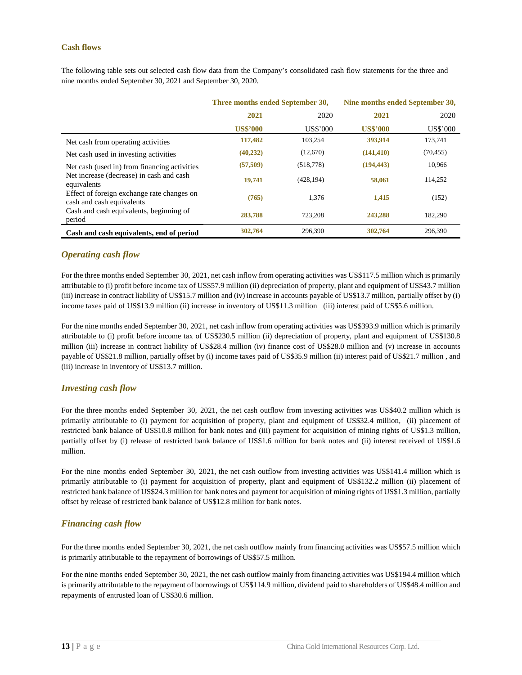### <span id="page-13-0"></span>**Cash flows**

The following table sets out selected cash flow data from the Company's consolidated cash flow statements for the three and nine months ended September 30, 2021 and September 30, 2020.

|                                                                                                                                                                                    | Three months ended September 30, |            | Nine months ended September 30, |           |  |
|------------------------------------------------------------------------------------------------------------------------------------------------------------------------------------|----------------------------------|------------|---------------------------------|-----------|--|
|                                                                                                                                                                                    | 2021                             | 2020       | 2021                            | 2020      |  |
|                                                                                                                                                                                    | <b>US\$'000</b>                  | US\$'000   | <b>US\$'000</b>                 | US\$'000  |  |
| Net cash from operating activities                                                                                                                                                 | 117,482                          | 103,254    | 393,914                         | 173,741   |  |
| Net cash used in investing activities                                                                                                                                              | (40, 232)                        | (12,670)   | (141, 410)                      | (70, 455) |  |
| Net cash (used in) from financing activities<br>Net increase (decrease) in cash and cash<br>equivalents<br>Effect of foreign exchange rate changes on<br>cash and cash equivalents | (57,509)                         | (518, 778) | (194, 443)                      | 10,966    |  |
|                                                                                                                                                                                    | 19,741                           | (428, 194) | 58,061                          | 114,252   |  |
|                                                                                                                                                                                    | (765)                            | 1,376      | 1,415                           | (152)     |  |
| Cash and cash equivalents, beginning of<br>period                                                                                                                                  | 283,788                          | 723,208    | 243,288                         | 182,290   |  |
| Cash and cash equivalents, end of period                                                                                                                                           | 302,764                          | 296,390    | 302,764                         | 296,390   |  |

### <span id="page-13-1"></span>*Operating cash flow*

For the three months ended September 30, 2021, net cash inflow from operating activities was US\$117.5 million which is primarily attributable to (i) profit before income tax of US\$57.9 million (ii) depreciation of property, plant and equipment of US\$43.7 million (iii) increase in contract liability of US\$15.7 million and (iv) increase in accounts payable of US\$13.7 million, partially offset by (i) income taxes paid of US\$13.9 million (ii) increase in inventory of US\$11.3 million (iii) interest paid of US\$5.6 million.

For the nine months ended September 30, 2021, net cash inflow from operating activities was US\$393.9 million which is primarily attributable to (i) profit before income tax of US\$230.5 million (ii) depreciation of property, plant and equipment of US\$130.8 million (iii) increase in contract liability of US\$28.4 million (iv) finance cost of US\$28.0 million and (v) increase in accounts payable of US\$21.8 million, partially offset by (i) income taxes paid of US\$35.9 million (ii) interest paid of US\$21.7 million , and (iii) increase in inventory of US\$13.7 million.

### <span id="page-13-2"></span>*Investing cash flow*

For the three months ended September 30, 2021, the net cash outflow from investing activities was US\$40.2 million which is primarily attributable to (i) payment for acquisition of property, plant and equipment of US\$32.4 million, (ii) placement of restricted bank balance of US\$10.8 million for bank notes and (iii) payment for acquisition of mining rights of US\$1.3 million, partially offset by (i) release of restricted bank balance of US\$1.6 million for bank notes and (ii) interest received of US\$1.6 million.

For the nine months ended September 30, 2021, the net cash outflow from investing activities was US\$141.4 million which is primarily attributable to (i) payment for acquisition of property, plant and equipment of US\$132.2 million (ii) placement of restricted bank balance of US\$24.3 million for bank notes and payment for acquisition of mining rights of US\$1.3 million, partially offset by release of restricted bank balance of US\$12.8 million for bank notes.

### <span id="page-13-3"></span>*Financing cash flow*

For the three months ended September 30, 2021, the net cash outflow mainly from financing activities was US\$57.5 million which is primarily attributable to the repayment of borrowings of US\$57.5 million.

For the nine months ended September 30, 2021, the net cash outflow mainly from financing activities was US\$194.4 million which is primarily attributable to the repayment of borrowings of US\$114.9 million, dividend paid to shareholders of US\$48.4 million and repayments of entrusted loan of US\$30.6 million.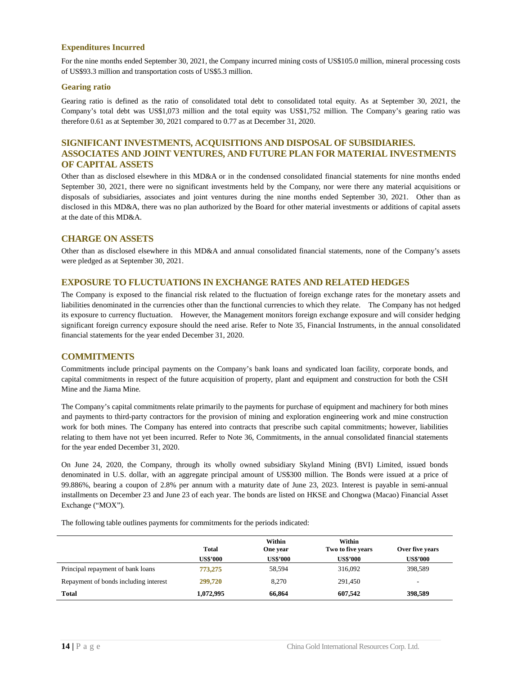### **Expenditures Incurred**

For the nine months ended September 30, 2021, the Company incurred mining costs of US\$105.0 million, mineral processing costs of US\$93.3 million and transportation costs of US\$5.3 million.

### **Gearing ratio**

Gearing ratio is defined as the ratio of consolidated total debt to consolidated total equity. As at September 30, 2021, the Company's total debt was US\$1,073 million and the total equity was US\$1,752 million. The Company's gearing ratio was therefore 0.61 as at September 30, 2021 compared to 0.77 as at December 31, 2020.

### <span id="page-14-0"></span>**SIGNIFICANT INVESTMENTS, ACQUISITIONS AND DISPOSAL OF SUBSIDIARIES. ASSOCIATES AND JOINT VENTURES, AND FUTURE PLAN FOR MATERIAL INVESTMENTS OF CAPITAL ASSETS**

Other than as disclosed elsewhere in this MD&A or in the condensed consolidated financial statements for nine months ended September 30, 2021, there were no significant investments held by the Company, nor were there any material acquisitions or disposals of subsidiaries, associates and joint ventures during the nine months ended September 30, 2021. Other than as disclosed in this MD&A, there was no plan authorized by the Board for other material investments or additions of capital assets at the date of this MD&A.

### <span id="page-14-1"></span>**CHARGE ON ASSETS**

Other than as disclosed elsewhere in this MD&A and annual consolidated financial statements, none of the Company's assets were pledged as at September 30, 2021.

### <span id="page-14-2"></span>**EXPOSURE TO FLUCTUATIONS IN EXCHANGE RATES AND RELATED HEDGES**

The Company is exposed to the financial risk related to the fluctuation of foreign exchange rates for the monetary assets and liabilities denominated in the currencies other than the functional currencies to which they relate. The Company has not hedged its exposure to currency fluctuation. However, the Management monitors foreign exchange exposure and will consider hedging significant foreign currency exposure should the need arise. Refer to Note 35, Financial Instruments, in the annual consolidated financial statements for the year ended December 31, 2020.

### <span id="page-14-3"></span>**COMMITMENTS**

Commitments include principal payments on the Company's bank loans and syndicated loan facility, corporate bonds, and capital commitments in respect of the future acquisition of property, plant and equipment and construction for both the CSH Mine and the Jiama Mine.

The Company's capital commitments relate primarily to the payments for purchase of equipment and machinery for both mines and payments to third-party contractors for the provision of mining and exploration engineering work and mine construction work for both mines. The Company has entered into contracts that prescribe such capital commitments; however, liabilities relating to them have not yet been incurred. Refer to Note 36, Commitments, in the annual consolidated financial statements for the year ended December 31, 2020.

On June 24, 2020, the Company, through its wholly owned subsidiary Skyland Mining (BVI) Limited, issued bonds denominated in U.S. dollar, with an aggregate principal amount of US\$300 million. The Bonds were issued at a price of 99.886%, bearing a coupon of 2.8% per annum with a maturity date of June 23, 2023. Interest is payable in semi-annual installments on December 23 and June 23 of each year. The bonds are listed on HKSE and Chongwa (Macao) Financial Asset Exchange ("MOX").

The following table outlines payments for commitments for the periods indicated:

|                                       | <b>Total</b>    | Within<br>One year | Within<br>Two to five years | Over five years |
|---------------------------------------|-----------------|--------------------|-----------------------------|-----------------|
|                                       | <b>US\$'000</b> | <b>US\$'000</b>    | <b>US\$'000</b>             | <b>US\$'000</b> |
| Principal repayment of bank loans     | 773,275         | 58,594             | 316,092                     | 398,589         |
| Repayment of bonds including interest | 299,720         | 8.270              | 291,450                     | -               |
| <b>Total</b>                          | 1,072,995       | 66,864             | 607,542                     | 398,589         |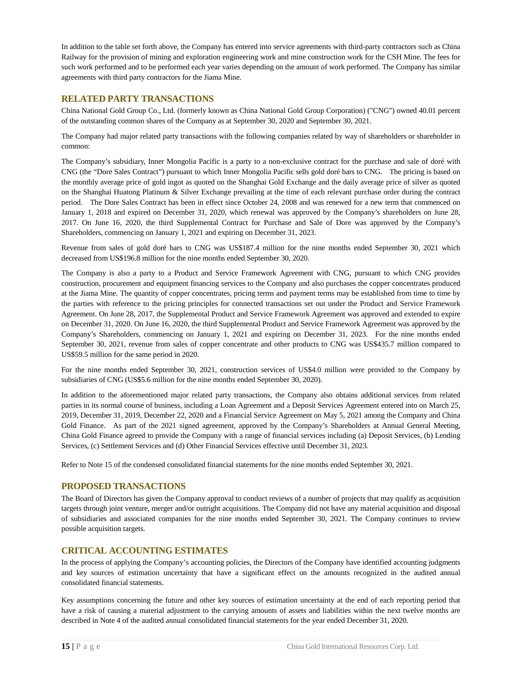In addition to the table set forth above, the Company has entered into service agreements with third-party contractors such as China Railway for the provision of mining and exploration engineering work and mine construction work for the CSH Mine. The fees for such work performed and to be performed each year varies depending on the amount of work performed. The Company has similar agreements with third party contractors for the Jiama Mine.

### <span id="page-15-0"></span>**RELATED PARTY TRANSACTIONS**

China National Gold Group Co., Ltd. (formerly known as China National Gold Group Corporation) ("CNG") owned 40.01 percent of the outstanding common shares of the Company as at September 30, 2020 and September 30, 2021.

The Company had major related party transactions with the following companies related by way of shareholders or shareholder in common:

The Company's subsidiary, Inner Mongolia Pacific is a party to a non-exclusive contract for the purchase and sale of doré with CNG (the "Dore Sales Contract") pursuant to which Inner Mongolia Pacific sells gold doré bars to CNG. The pricing is based on the monthly average price of gold ingot as quoted on the Shanghai Gold Exchange and the daily average price of silver as quoted on the Shanghai Huatong Platinum & Silver Exchange prevailing at the time of each relevant purchase order during the contract period. The Dore Sales Contract has been in effect since October 24, 2008 and was renewed for a new term that commenced on January 1, 2018 and expired on December 31, 2020, which renewal was approved by the Company's shareholders on June 28, 2017. On June 16, 2020, the third Supplemental Contract for Purchase and Sale of Dore was approved by the Company's Shareholders, commencing on January 1, 2021 and expiring on December 31, 2023.

Revenue from sales of gold doré bars to CNG was US\$187.4 million for the nine months ended September 30, 2021 which decreased from US\$196.8 million for the nine months ended September 30, 2020.

The Company is also a party to a Product and Service Framework Agreement with CNG, pursuant to which CNG provides construction, procurement and equipment financing services to the Company and also purchases the copper concentrates produced at the Jiama Mine. The quantity of copper concentrates, pricing terms and payment terms may be established from time to time by the parties with reference to the pricing principles for connected transactions set out under the Product and Service Framework Agreement. On June 28, 2017, the Supplemental Product and Service Framework Agreement was approved and extended to expire on December 31, 2020. On June 16, 2020, the third Supplemental Product and Service Framework Agreement was approved by the Company's Shareholders, commencing on January 1, 2021 and expiring on December 31, 2023. For the nine months ended September 30, 2021, revenue from sales of copper concentrate and other products to CNG was US\$435.7 million compared to US\$59.5 million for the same period in 2020.

For the nine months ended September 30, 2021, construction services of US\$4.0 million were provided to the Company by subsidiaries of CNG (US\$5.6 million for the nine months ended September 30, 2020).

In addition to the aforementioned major related party transactions, the Company also obtains additional services from related parties in its normal course of business, including a Loan Agreement and a Deposit Services Agreement entered into on March 25, 2019, December 31, 2019, December 22, 2020 and a Financial Service Agreement on May 5, 2021 among the Company and China Gold Finance. As part of the 2021 signed agreement, approved by the Company's Shareholders at Annual General Meeting, China Gold Finance agreed to provide the Company with a range of financial services including (a) Deposit Services, (b) Lending Services, (c) Settlement Services and (d) Other Financial Services effective until December 31, 2023.

Refer to Note 15 of the condensed consolidated financial statements for the nine months ended September 30, 2021.

### <span id="page-15-1"></span>**PROPOSED TRANSACTIONS**

The Board of Directors has given the Company approval to conduct reviews of a number of projects that may qualify as acquisition targets through joint venture, merger and/or outright acquisitions. The Company did not have any material acquisition and disposal of subsidiaries and associated companies for the nine months ended September 30, 2021. The Company continues to review possible acquisition targets.

### <span id="page-15-2"></span>**CRITICAL ACCOUNTING ESTIMATES**

In the process of applying the Company's accounting policies, the Directors of the Company have identified accounting judgments and key sources of estimation uncertainty that have a significant effect on the amounts recognized in the audited annual consolidated financial statements.

Key assumptions concerning the future and other key sources of estimation uncertainty at the end of each reporting period that have a risk of causing a material adjustment to the carrying amounts of assets and liabilities within the next twelve months are described in Note 4 of the audited annual consolidated financial statements for the year ended December 31, 2020.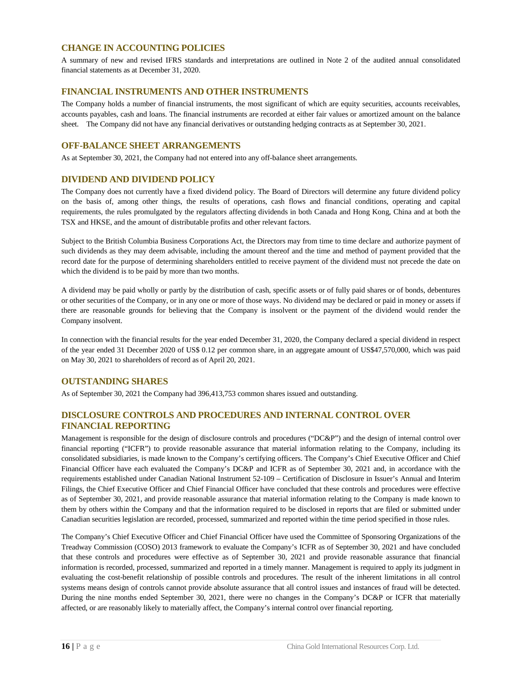### <span id="page-16-0"></span>**CHANGE IN ACCOUNTING POLICIES**

A summary of new and revised IFRS standards and interpretations are outlined in Note 2 of the audited annual consolidated financial statements as at December 31, 2020.

### <span id="page-16-1"></span>**FINANCIAL INSTRUMENTS AND OTHER INSTRUMENTS**

The Company holds a number of financial instruments, the most significant of which are equity securities, accounts receivables, accounts payables, cash and loans. The financial instruments are recorded at either fair values or amortized amount on the balance sheet. The Company did not have any financial derivatives or outstanding hedging contracts as at September 30, 2021.

### <span id="page-16-2"></span>**OFF-BALANCE SHEET ARRANGEMENTS**

As at September 30, 2021, the Company had not entered into any off-balance sheet arrangements.

### <span id="page-16-3"></span>**DIVIDEND AND DIVIDEND POLICY**

The Company does not currently have a fixed dividend policy. The Board of Directors will determine any future dividend policy on the basis of, among other things, the results of operations, cash flows and financial conditions, operating and capital requirements, the rules promulgated by the regulators affecting dividends in both Canada and Hong Kong, China and at both the TSX and HKSE, and the amount of distributable profits and other relevant factors.

Subject to the British Columbia Business Corporations Act, the Directors may from time to time declare and authorize payment of such dividends as they may deem advisable, including the amount thereof and the time and method of payment provided that the record date for the purpose of determining shareholders entitled to receive payment of the dividend must not precede the date on which the dividend is to be paid by more than two months.

A dividend may be paid wholly or partly by the distribution of cash, specific assets or of fully paid shares or of bonds, debentures or other securities of the Company, or in any one or more of those ways. No dividend may be declared or paid in money or assets if there are reasonable grounds for believing that the Company is insolvent or the payment of the dividend would render the Company insolvent.

In connection with the financial results for the year ended December 31, 2020, the Company declared a special dividend in respect of the year ended 31 December 2020 of US\$ 0.12 per common share, in an aggregate amount of US\$47,570,000, which was paid on May 30, 2021 to shareholders of record as of April 20, 2021.

### <span id="page-16-4"></span>**OUTSTANDING SHARES**

As of September 30, 2021 the Company had 396,413,753 common shares issued and outstanding.

### <span id="page-16-5"></span>**DISCLOSURE CONTROLS AND PROCEDURES AND INTERNAL CONTROL OVER FINANCIAL REPORTING**

Management is responsible for the design of disclosure controls and procedures ("DC&P") and the design of internal control over financial reporting ("ICFR") to provide reasonable assurance that material information relating to the Company, including its consolidated subsidiaries, is made known to the Company's certifying officers. The Company's Chief Executive Officer and Chief Financial Officer have each evaluated the Company's DC&P and ICFR as of September 30, 2021 and, in accordance with the requirements established under Canadian National Instrument 52-109 – Certification of Disclosure in Issuer's Annual and Interim Filings, the Chief Executive Officer and Chief Financial Officer have concluded that these controls and procedures were effective as of September 30, 2021, and provide reasonable assurance that material information relating to the Company is made known to them by others within the Company and that the information required to be disclosed in reports that are filed or submitted under Canadian securities legislation are recorded, processed, summarized and reported within the time period specified in those rules.

The Company's Chief Executive Officer and Chief Financial Officer have used the Committee of Sponsoring Organizations of the Treadway Commission (COSO) 2013 framework to evaluate the Company's ICFR as of September 30, 2021 and have concluded that these controls and procedures were effective as of September 30, 2021 and provide reasonable assurance that financial information is recorded, processed, summarized and reported in a timely manner. Management is required to apply its judgment in evaluating the cost-benefit relationship of possible controls and procedures. The result of the inherent limitations in all control systems means design of controls cannot provide absolute assurance that all control issues and instances of fraud will be detected. During the nine months ended September 30, 2021, there were no changes in the Company's DC&P or ICFR that materially affected, or are reasonably likely to materially affect, the Company's internal control over financial reporting.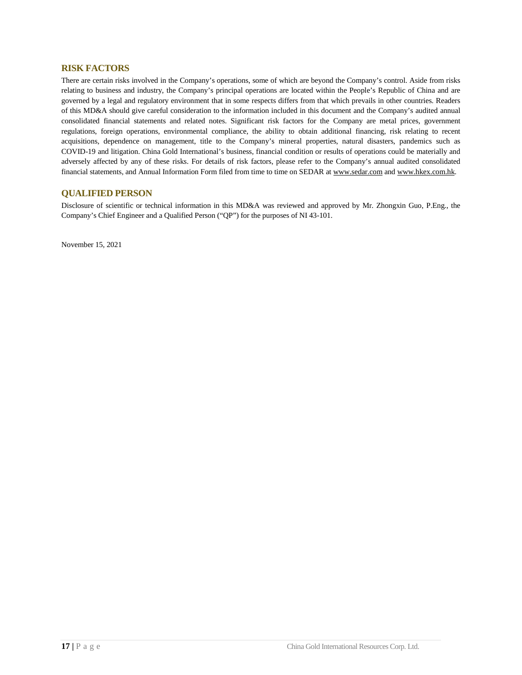### <span id="page-17-0"></span>**RISK FACTORS**

There are certain risks involved in the Company's operations, some of which are beyond the Company's control. Aside from risks relating to business and industry, the Company's principal operations are located within the People's Republic of China and are governed by a legal and regulatory environment that in some respects differs from that which prevails in other countries. Readers of this MD&A should give careful consideration to the information included in this document and the Company's audited annual consolidated financial statements and related notes. Significant risk factors for the Company are metal prices, government regulations, foreign operations, environmental compliance, the ability to obtain additional financing, risk relating to recent acquisitions, dependence on management, title to the Company's mineral properties, natural disasters, pandemics such as COVID-19 and litigation. China Gold International's business, financial condition or results of operations could be materially and adversely affected by any of these risks. For details of risk factors, please refer to the Company's annual audited consolidated financial statements, and Annual Information Form filed from time to time on SEDAR at [www.sedar.com](http://www.sedar.com/) and www.hkex.com.hk.

### <span id="page-17-1"></span>**QUALIFIED PERSON**

Disclosure of scientific or technical information in this MD&A was reviewed and approved by Mr. Zhongxin Guo, P.Eng., the Company's Chief Engineer and a Qualified Person ("QP") for the purposes of NI 43-101.

November 15, 2021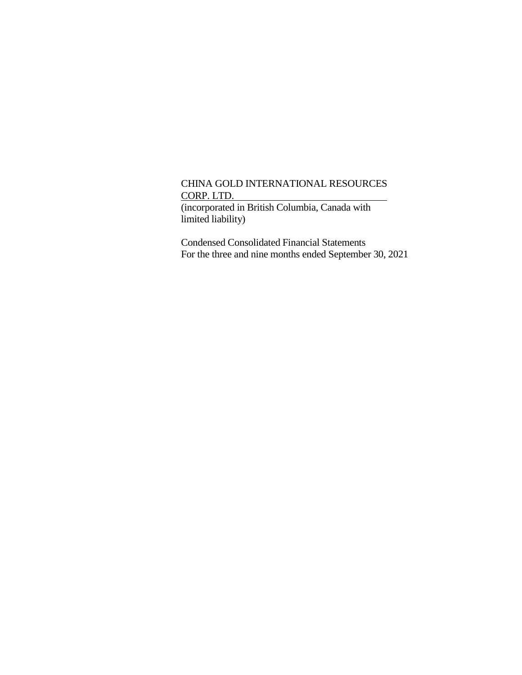(incorporated in British Columbia, Canada with limited liability)

Condensed Consolidated Financial Statements For the three and nine months ended September 30, 2021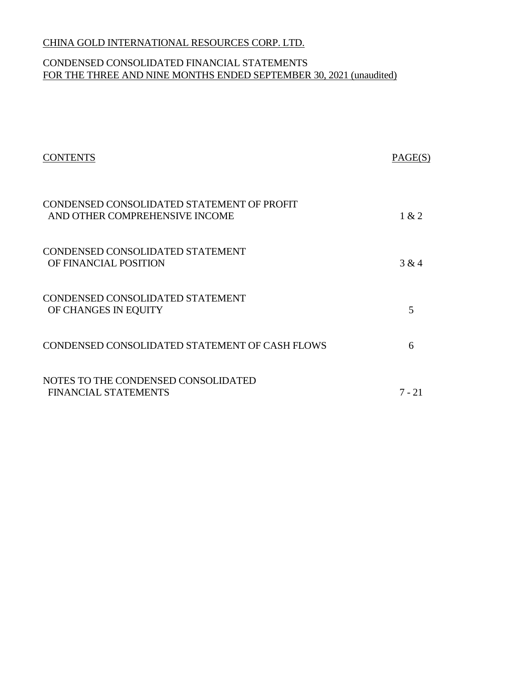# CONDENSED CONSOLIDATED FINANCIAL STATEMENTS FOR THE THREE AND NINE MONTHS ENDED SEPTEMBER 30, 2021 (unaudited)

| <b>CONTENTS</b>                                                              | PAGE(S) |
|------------------------------------------------------------------------------|---------|
| CONDENSED CONSOLIDATED STATEMENT OF PROFIT<br>AND OTHER COMPREHENSIVE INCOME | 1 & 2   |
| CONDENSED CONSOLIDATED STATEMENT<br>OF FINANCIAL POSITION                    | 3 & 4   |
| CONDENSED CONSOLIDATED STATEMENT<br>OF CHANGES IN EQUITY                     | 5       |
| CONDENSED CONSOLIDATED STATEMENT OF CASH FLOWS                               | 6       |
| NOTES TO THE CONDENSED CONSOLIDATED<br><b>FINANCIAL STATEMENTS</b>           | 7 - 21  |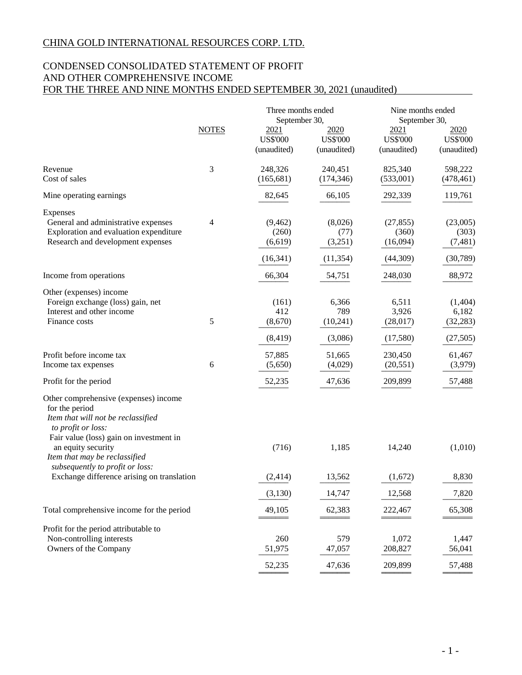# CONDENSED CONSOLIDATED STATEMENT OF PROFIT AND OTHER COMPREHENSIVE INCOME FOR THE THREE AND NINE MONTHS ENDED SEPTEMBER 30, 2021 (unaudited)

|                                                                                                                                                                                                                                                                                                        |              | Three months ended                                      |                                         | Nine months ended                                       |                                            |  |
|--------------------------------------------------------------------------------------------------------------------------------------------------------------------------------------------------------------------------------------------------------------------------------------------------------|--------------|---------------------------------------------------------|-----------------------------------------|---------------------------------------------------------|--------------------------------------------|--|
|                                                                                                                                                                                                                                                                                                        | <b>NOTES</b> | September 30,<br>2021<br><b>US\$'000</b><br>(unaudited) | 2020<br><b>US\$'000</b><br>(unaudited)  | September 30,<br>2021<br><b>US\$'000</b><br>(unaudited) | 2020<br><b>US\$'000</b><br>(unaudited)     |  |
| Revenue<br>Cost of sales                                                                                                                                                                                                                                                                               | 3            | 248,326<br>(165, 681)                                   | 240,451<br>(174, 346)                   | 825,340<br>(533,001)                                    | 598,222<br>(478, 461)                      |  |
| Mine operating earnings                                                                                                                                                                                                                                                                                |              | 82,645                                                  | 66,105                                  | 292,339                                                 | 119,761                                    |  |
| Expenses<br>General and administrative expenses<br>Exploration and evaluation expenditure<br>Research and development expenses                                                                                                                                                                         | 4            | (9,462)<br>(260)<br>(6,619)<br>(16, 341)                | (8,026)<br>(77)<br>(3,251)<br>(11, 354) | (27, 855)<br>(360)<br>(16,094)<br>(44,309)              | (23,005)<br>(303)<br>(7, 481)<br>(30, 789) |  |
| Income from operations                                                                                                                                                                                                                                                                                 |              | 66,304                                                  | 54,751                                  | 248,030                                                 | 88,972                                     |  |
| Other (expenses) income<br>Foreign exchange (loss) gain, net<br>Interest and other income<br>Finance costs                                                                                                                                                                                             | 5            | (161)<br>412<br>(8,670)<br>(8, 419)                     | 6,366<br>789<br>(10, 241)<br>(3,086)    | 6,511<br>3,926<br>(28,017)<br>(17,580)                  | (1,404)<br>6,182<br>(32, 283)<br>(27, 505) |  |
| Profit before income tax<br>Income tax expenses                                                                                                                                                                                                                                                        | 6            | 57,885<br>(5,650)                                       | 51,665<br>(4,029)                       | 230,450<br>(20, 551)                                    | 61,467<br>(3,979)                          |  |
| Profit for the period                                                                                                                                                                                                                                                                                  |              | 52,235                                                  | 47,636                                  | 209,899                                                 | 57,488                                     |  |
| Other comprehensive (expenses) income<br>for the period<br>Item that will not be reclassified<br>to profit or loss:<br>Fair value (loss) gain on investment in<br>an equity security<br>Item that may be reclassified<br>subsequently to profit or loss:<br>Exchange difference arising on translation |              | (716)<br>(2, 414)                                       | 1,185<br>13,562                         | 14,240<br>(1,672)                                       | (1,010)<br>8,830                           |  |
|                                                                                                                                                                                                                                                                                                        |              | (3, 130)                                                | 14,747                                  | 12,568                                                  | 7,820                                      |  |
| Total comprehensive income for the period                                                                                                                                                                                                                                                              |              | 49,105                                                  | 62,383                                  | 222,467                                                 | 65,308                                     |  |
| Profit for the period attributable to<br>Non-controlling interests<br>Owners of the Company                                                                                                                                                                                                            |              | 260<br>51,975<br>52,235                                 | 579<br>47,057<br>47,636                 | 1,072<br>208,827<br>209,899                             | 1,447<br>56,041<br>57,488                  |  |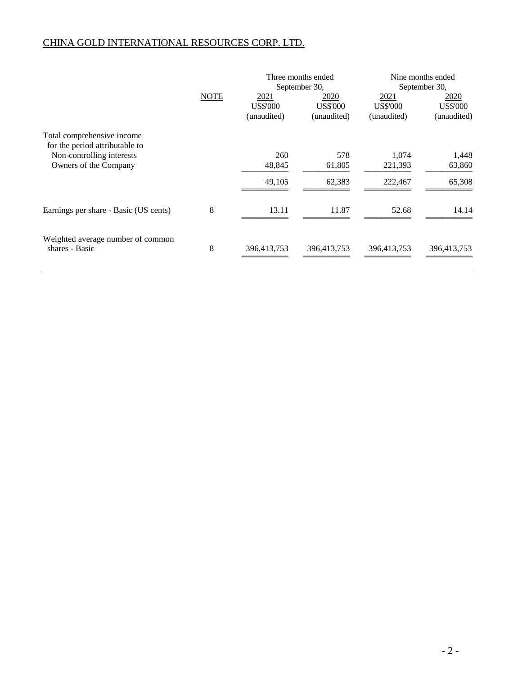|                                                              |             | Three months ended<br>September 30,    |                                        | Nine months ended<br>September 30,     |                                        |
|--------------------------------------------------------------|-------------|----------------------------------------|----------------------------------------|----------------------------------------|----------------------------------------|
|                                                              | <b>NOTE</b> | 2021<br><b>US\$'000</b><br>(unaudited) | 2020<br><b>US\$'000</b><br>(unaudited) | 2021<br><b>US\$'000</b><br>(unaudited) | 2020<br><b>US\$'000</b><br>(unaudited) |
| Total comprehensive income<br>for the period attributable to |             |                                        |                                        |                                        |                                        |
| Non-controlling interests                                    |             | 260                                    | 578                                    | 1,074                                  | 1,448                                  |
| Owners of the Company                                        |             | 48,845                                 | 61,805                                 | 221,393                                | 63,860                                 |
|                                                              |             | 49,105                                 | 62,383                                 | 222,467                                | 65,308                                 |
| Earnings per share - Basic (US cents)                        | 8           | 13.11                                  | 11.87                                  | 52.68                                  | 14.14                                  |
| Weighted average number of common<br>shares - Basic          | 8           | 396,413,753                            | 396,413,753                            | 396,413,753                            | 396,413,753                            |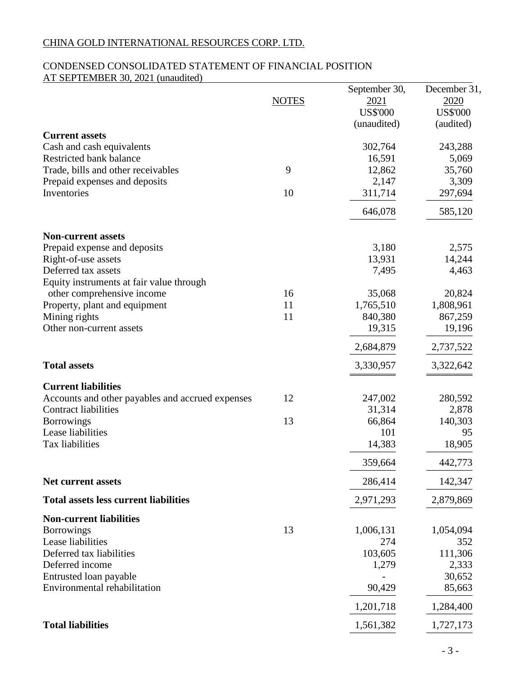# CONDENSED CONSOLIDATED STATEMENT OF FINANCIAL POSITION AT SEPTEMBER 30, 2021 (unaudited)

|                                                    | <b>NOTES</b> | September 30,<br>2021<br><b>US\$'000</b> | December 31,<br>2020<br><b>US\$'000</b> |
|----------------------------------------------------|--------------|------------------------------------------|-----------------------------------------|
| <b>Current assets</b><br>Cash and cash equivalents |              | (unaudited)<br>302,764                   | (audited)<br>243,288                    |
| Restricted bank balance                            |              | 16,591                                   | 5,069                                   |
| Trade, bills and other receivables                 | 9            | 12,862                                   | 35,760                                  |
| Prepaid expenses and deposits                      |              | 2,147                                    | 3,309                                   |
| Inventories                                        | 10           | 311,714                                  | 297,694                                 |
|                                                    |              | 646,078                                  | 585,120                                 |
| <b>Non-current assets</b>                          |              |                                          |                                         |
| Prepaid expense and deposits                       |              | 3,180                                    | 2,575                                   |
| Right-of-use assets                                |              | 13,931                                   | 14,244                                  |
| Deferred tax assets                                |              | 7,495                                    | 4,463                                   |
| Equity instruments at fair value through           |              |                                          |                                         |
| other comprehensive income                         | 16           | 35,068                                   | 20,824                                  |
| Property, plant and equipment                      | 11<br>11     | 1,765,510                                | 1,808,961                               |
| Mining rights<br>Other non-current assets          |              | 840,380<br>19,315                        | 867,259<br>19,196                       |
|                                                    |              | 2,684,879                                | 2,737,522                               |
|                                                    |              |                                          |                                         |
| <b>Total assets</b>                                |              | 3,330,957                                | 3,322,642                               |
| <b>Current liabilities</b>                         |              |                                          |                                         |
| Accounts and other payables and accrued expenses   | 12           | 247,002                                  | 280,592                                 |
| <b>Contract liabilities</b>                        |              | 31,314                                   | 2,878                                   |
| <b>Borrowings</b>                                  | 13           | 66,864                                   | 140,303                                 |
| Lease liabilities                                  |              | 101                                      | 95                                      |
| Tax liabilities                                    |              | 14,383                                   | 18,905                                  |
|                                                    |              | 359,664                                  | 442,773                                 |
| Net current assets                                 |              | 286,414                                  | 142,347                                 |
| <b>Total assets less current liabilities</b>       |              | 2,971,293                                | 2,879,869                               |
| <b>Non-current liabilities</b>                     |              |                                          |                                         |
| <b>Borrowings</b>                                  | 13           | 1,006,131                                | 1,054,094                               |
| Lease liabilities<br>Deferred tax liabilities      |              | 274<br>103,605                           | 352<br>111,306                          |
| Deferred income                                    |              | 1,279                                    | 2,333                                   |
| Entrusted loan payable                             |              |                                          | 30,652                                  |
| Environmental rehabilitation                       |              | 90,429                                   | 85,663                                  |
|                                                    |              | 1,201,718                                | 1,284,400                               |
| <b>Total liabilities</b>                           |              | 1,561,382                                | 1,727,173                               |
|                                                    |              |                                          |                                         |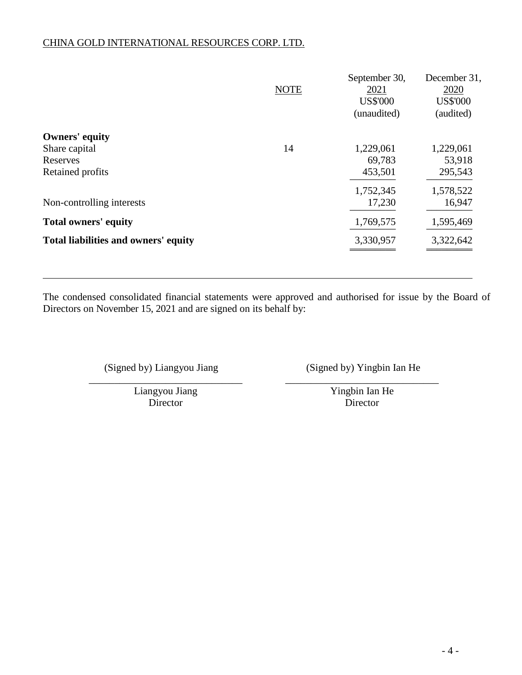|                                      | <b>NOTE</b> | September 30,<br>2021<br><b>US\$'000</b><br>(unaudited) | December 31,<br>2020<br><b>US\$'000</b><br>(audited) |
|--------------------------------------|-------------|---------------------------------------------------------|------------------------------------------------------|
| <b>Owners' equity</b>                |             |                                                         |                                                      |
| Share capital                        | 14          | 1,229,061                                               | 1,229,061                                            |
| Reserves                             |             | 69,783                                                  | 53,918                                               |
| Retained profits                     |             | 453,501                                                 | 295,543                                              |
|                                      |             | 1,752,345                                               | 1,578,522                                            |
| Non-controlling interests            |             | 17,230                                                  | 16,947                                               |
| <b>Total owners' equity</b>          |             | 1,769,575                                               | 1,595,469                                            |
| Total liabilities and owners' equity |             | 3,330,957                                               | 3,322,642                                            |

The condensed consolidated financial statements were approved and authorised for issue by the Board of Directors on November 15, 2021 and are signed on its behalf by:

(Signed by) Liangyou Jiang (Signed by) Yingbin Ian He

\_\_\_\_\_\_\_\_\_\_\_\_\_\_\_\_\_\_\_\_\_\_\_\_\_\_\_\_\_\_ \_\_\_\_\_\_\_\_\_\_\_\_\_\_\_\_\_\_\_\_\_\_\_\_\_\_\_\_\_\_ Liangyou Jiang Yingbin Ian He Director Director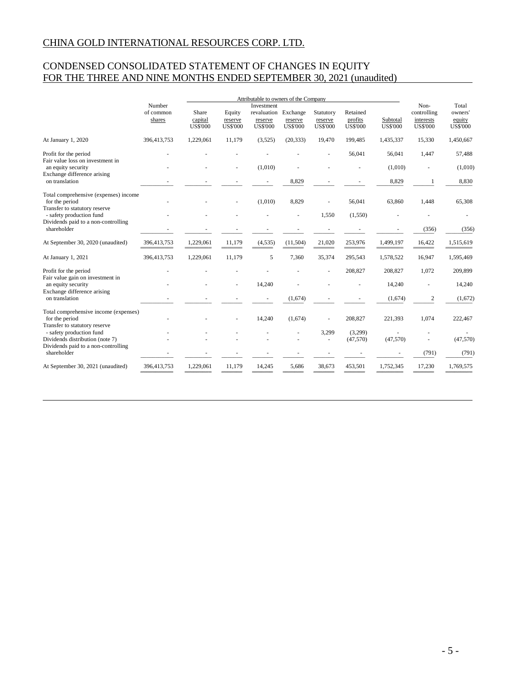# CONDENSED CONSOLIDATED STATEMENT OF CHANGES IN EQUITY FOR THE THREE AND NINE MONTHS ENDED SEPTEMBER 30, 2021 (unaudited)

|                                                                                              | Number              |                                     | Attributable to owners of the Company<br>Investment |                                           |                                        |                                         |                                        | Non-                        | Total                                       |                                      |
|----------------------------------------------------------------------------------------------|---------------------|-------------------------------------|-----------------------------------------------------|-------------------------------------------|----------------------------------------|-----------------------------------------|----------------------------------------|-----------------------------|---------------------------------------------|--------------------------------------|
|                                                                                              | of common<br>shares | Share<br>capital<br><b>US\$'000</b> | Equity<br>reserve<br><b>US\$'000</b>                | revaluation<br>reserve<br><b>US\$'000</b> | Exchange<br>reserve<br><b>US\$'000</b> | Statutory<br>reserve<br><b>US\$'000</b> | Retained<br>profits<br><b>US\$'000</b> | Subtotal<br><b>US\$'000</b> | controlling<br>interests<br><b>US\$'000</b> | owners'<br>equity<br><b>US\$'000</b> |
| At January 1, 2020                                                                           | 396,413,753         | 1,229,061                           | 11,179                                              | (3,525)                                   | (20, 333)                              | 19,470                                  | 199.485                                | 1,435,337                   | 15,330                                      | 1,450,667                            |
| Profit for the period<br>Fair value loss on investment in                                    |                     |                                     |                                                     |                                           |                                        |                                         | 56,041                                 | 56,041                      | 1,447                                       | 57,488                               |
| an equity security                                                                           |                     |                                     |                                                     | (1,010)                                   |                                        |                                         |                                        | (1,010)                     |                                             | (1,010)                              |
| Exchange difference arising<br>on translation                                                |                     |                                     |                                                     |                                           | 8,829                                  |                                         |                                        | 8,829                       | -1                                          | 8,830                                |
| Total comprehensive (expenses) income<br>for the period<br>Transfer to statutory reserve     |                     |                                     |                                                     | (1,010)                                   | 8,829                                  |                                         | 56,041                                 | 63,860                      | 1,448                                       | 65,308                               |
| - safety production fund                                                                     |                     |                                     |                                                     |                                           | ÷,                                     | 1,550                                   | (1,550)                                |                             |                                             |                                      |
| Dividends paid to a non-controlling<br>shareholder                                           |                     |                                     |                                                     |                                           |                                        |                                         |                                        |                             | (356)                                       | (356)                                |
| At September 30, 2020 (unaudited)                                                            | 396,413,753         | 1,229,061                           | 11,179                                              | (4,535)                                   | (11,504)                               | 21,020                                  | 253,976                                | 1,499,197                   | 16,422                                      | 1,515,619                            |
| At January 1, 2021                                                                           | 396,413,753         | 1,229,061                           | 11,179                                              | 5                                         | 7,360                                  | 35,374                                  | 295,543                                | 1,578,522                   | 16,947                                      | 1,595,469                            |
| Profit for the period<br>Fair value gain on investment in                                    |                     |                                     |                                                     |                                           |                                        |                                         | 208,827                                | 208,827                     | 1,072                                       | 209,899                              |
| an equity security<br>Exchange difference arising                                            |                     |                                     |                                                     | 14,240                                    |                                        |                                         |                                        | 14,240                      |                                             | 14,240                               |
| on translation                                                                               |                     |                                     |                                                     |                                           | (1,674)                                |                                         |                                        | (1,674)                     | 2                                           | (1,672)                              |
| Total comprehensive income (expenses)<br>for the period                                      |                     |                                     |                                                     | 14,240                                    | (1.674)                                |                                         | 208,827                                | 221,393                     | 1,074                                       | 222,467                              |
| Transfer to statutory reserve<br>- safety production fund<br>Dividends distribution (note 7) |                     |                                     |                                                     |                                           |                                        | 3,299                                   | (3,299)<br>(47,570)                    | (47,570)                    |                                             | (47,570)                             |
| Dividends paid to a non-controlling<br>shareholder                                           |                     |                                     |                                                     |                                           |                                        |                                         |                                        |                             | (791)                                       | (791)                                |
| At September 30, 2021 (unaudited)                                                            | 396,413,753         | 1,229,061                           | 11.179                                              | 14,245                                    | 5,686                                  | 38,673                                  | 453,501                                | 1,752,345                   | 17,230                                      | 1,769,575                            |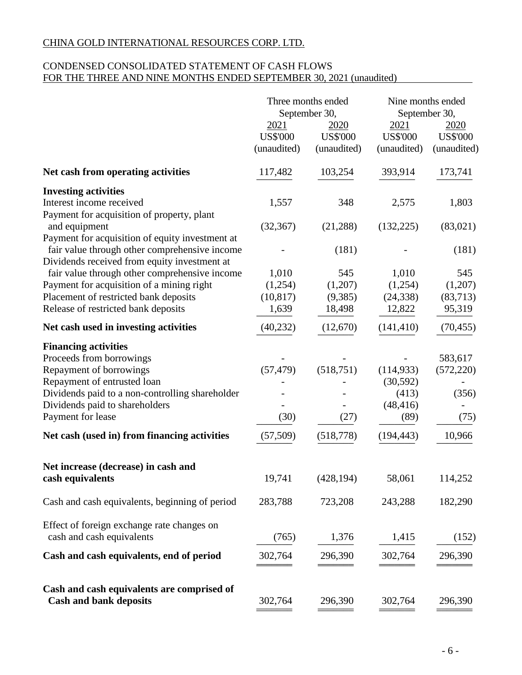# CONDENSED CONSOLIDATED STATEMENT OF CASH FLOWS FOR THE THREE AND NINE MONTHS ENDED SEPTEMBER 30, 2021 (unaudited)

|                                                                                                                | Three months ended<br>September 30,    |                                        | Nine months ended<br>September 30,     |                                        |
|----------------------------------------------------------------------------------------------------------------|----------------------------------------|----------------------------------------|----------------------------------------|----------------------------------------|
|                                                                                                                | 2021<br><b>US\$'000</b><br>(unaudited) | 2020<br><b>US\$'000</b><br>(unaudited) | 2021<br><b>US\$'000</b><br>(unaudited) | 2020<br><b>US\$'000</b><br>(unaudited) |
| Net cash from operating activities                                                                             | 117,482                                | 103,254                                | 393,914                                | 173,741                                |
| <b>Investing activities</b><br>Interest income received                                                        | 1,557                                  | 348                                    | 2,575                                  | 1,803                                  |
| Payment for acquisition of property, plant<br>and equipment<br>Payment for acquisition of equity investment at | (32, 367)                              | (21,288)                               | (132, 225)                             | (83,021)                               |
| fair value through other comprehensive income<br>Dividends received from equity investment at                  |                                        | (181)                                  |                                        | (181)                                  |
| fair value through other comprehensive income                                                                  | 1,010                                  | 545                                    | 1,010                                  | 545                                    |
| Payment for acquisition of a mining right<br>Placement of restricted bank deposits                             | (1,254)<br>(10, 817)                   | (1,207)<br>(9,385)                     | (1,254)<br>(24, 338)                   | (1,207)<br>(83,713)                    |
| Release of restricted bank deposits                                                                            | 1,639                                  | 18,498                                 | 12,822                                 | 95,319                                 |
| Net cash used in investing activities                                                                          | (40, 232)                              | (12,670)                               | (141, 410)                             | (70, 455)                              |
| <b>Financing activities</b>                                                                                    |                                        |                                        |                                        |                                        |
| Proceeds from borrowings                                                                                       |                                        |                                        |                                        | 583,617                                |
| Repayment of borrowings<br>Repayment of entrusted loan                                                         | (57, 479)                              | (518, 751)                             | (114, 933)<br>(30, 592)                | (572, 220)                             |
| Dividends paid to a non-controlling shareholder                                                                |                                        |                                        | (413)                                  | (356)                                  |
| Dividends paid to shareholders                                                                                 |                                        |                                        | (48, 416)                              |                                        |
| Payment for lease                                                                                              | (30)                                   | (27)                                   | (89)                                   | (75)                                   |
| Net cash (used in) from financing activities                                                                   | (57, 509)                              | (518, 778)                             | (194, 443)                             | 10,966                                 |
| Net increase (decrease) in cash and                                                                            |                                        |                                        |                                        |                                        |
| cash equivalents                                                                                               | 19,741                                 | (428, 194)                             | 58,061                                 | 114,252                                |
| Cash and cash equivalents, beginning of period                                                                 | 283,788                                | 723,208                                | 243,288                                | 182,290                                |
| Effect of foreign exchange rate changes on<br>cash and cash equivalents                                        | (765)                                  | 1,376                                  | 1,415                                  | (152)                                  |
| Cash and cash equivalents, end of period                                                                       | 302,764                                | 296,390                                | 302,764                                | 296,390                                |
| Cash and cash equivalents are comprised of                                                                     |                                        |                                        |                                        |                                        |
| <b>Cash and bank deposits</b>                                                                                  | 302,764                                | 296,390                                | 302,764                                | 296,390                                |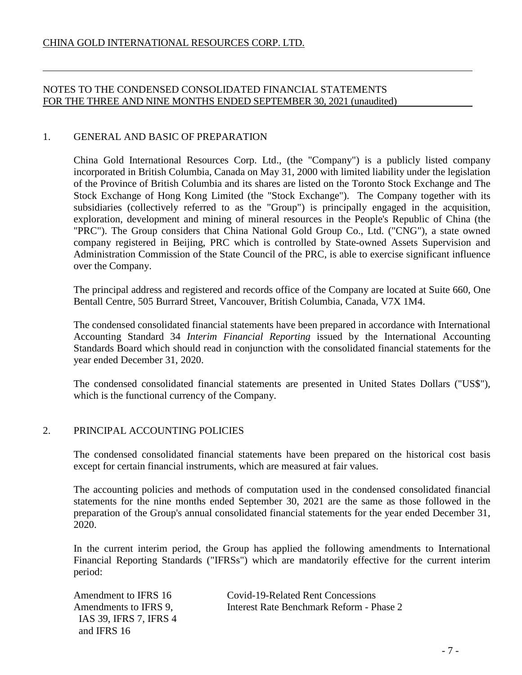# NOTES TO THE CONDENSED CONSOLIDATED FINANCIAL STATEMENTS FOR THE THREE AND NINE MONTHS ENDED SEPTEMBER 30, 2021 (unaudited)

# 1. GENERAL AND BASIC OF PREPARATION

China Gold International Resources Corp. Ltd., (the "Company") is a publicly listed company incorporated in British Columbia, Canada on May 31, 2000 with limited liability under the legislation of the Province of British Columbia and its shares are listed on the Toronto Stock Exchange and The Stock Exchange of Hong Kong Limited (the "Stock Exchange"). The Company together with its subsidiaries (collectively referred to as the "Group") is principally engaged in the acquisition, exploration, development and mining of mineral resources in the People's Republic of China (the "PRC"). The Group considers that China National Gold Group Co., Ltd. ("CNG"), a state owned company registered in Beijing, PRC which is controlled by State-owned Assets Supervision and Administration Commission of the State Council of the PRC, is able to exercise significant influence over the Company.

The principal address and registered and records office of the Company are located at Suite 660, One Bentall Centre, 505 Burrard Street, Vancouver, British Columbia, Canada, V7X 1M4.

The condensed consolidated financial statements have been prepared in accordance with International Accounting Standard 34 *Interim Financial Reporting* issued by the International Accounting Standards Board which should read in conjunction with the consolidated financial statements for the year ended December 31, 2020.

The condensed consolidated financial statements are presented in United States Dollars ("US\$"), which is the functional currency of the Company.

# 2. PRINCIPAL ACCOUNTING POLICIES

The condensed consolidated financial statements have been prepared on the historical cost basis except for certain financial instruments, which are measured at fair values.

The accounting policies and methods of computation used in the condensed consolidated financial statements for the nine months ended September 30, 2021 are the same as those followed in the preparation of the Group's annual consolidated financial statements for the year ended December 31, 2020.

In the current interim period, the Group has applied the following amendments to International Financial Reporting Standards ("IFRSs") which are mandatorily effective for the current interim period:

 IAS 39, IFRS 7, IFRS 4 and IFRS 16

Amendment to IFRS 16 Covid-19-Related Rent Concessions Amendments to IFRS 9, Interest Rate Benchmark Reform - Phase 2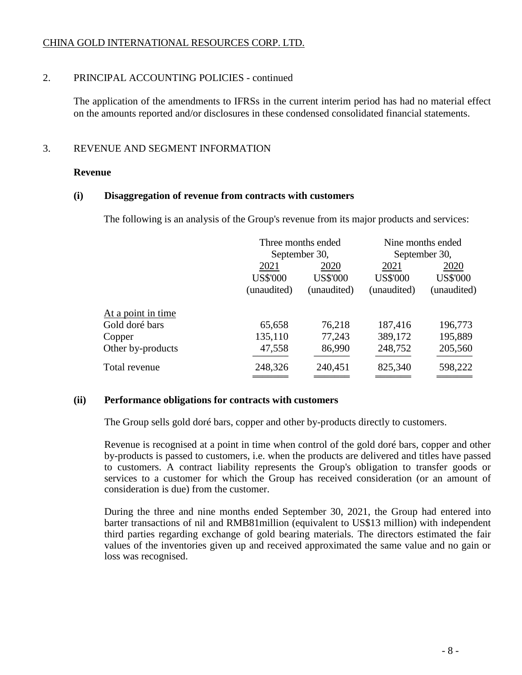# 2. PRINCIPAL ACCOUNTING POLICIES - continued

The application of the amendments to IFRSs in the current interim period has had no material effect on the amounts reported and/or disclosures in these condensed consolidated financial statements.

# 3. REVENUE AND SEGMENT INFORMATION

### **Revenue**

### **(i) Disaggregation of revenue from contracts with customers**

The following is an analysis of the Group's revenue from its major products and services:

|                    |                 | Three months ended | Nine months ended<br>September 30, |                 |  |
|--------------------|-----------------|--------------------|------------------------------------|-----------------|--|
|                    |                 | September 30,      |                                    |                 |  |
|                    | 2021            | 2020               | 2021                               | 2020            |  |
|                    | <b>US\$'000</b> | <b>US\$'000</b>    | <b>US\$'000</b>                    | <b>US\$'000</b> |  |
|                    | (unaudited)     | (unaudited)        | (unaudited)                        | (unaudited)     |  |
| At a point in time |                 |                    |                                    |                 |  |
| Gold doré bars     | 65,658          | 76,218             | 187,416                            | 196,773         |  |
| Copper             | 135,110         | 77,243             | 389,172                            | 195,889         |  |
| Other by-products  | 47,558          | 86,990             | 248,752                            | 205,560         |  |
| Total revenue      | 248,326         | 240,451            | 825,340                            | 598,222         |  |
|                    |                 |                    |                                    |                 |  |

# **(ii) Performance obligations for contracts with customers**

The Group sells gold doré bars, copper and other by-products directly to customers.

Revenue is recognised at a point in time when control of the gold doré bars, copper and other by-products is passed to customers, i.e. when the products are delivered and titles have passed to customers. A contract liability represents the Group's obligation to transfer goods or services to a customer for which the Group has received consideration (or an amount of consideration is due) from the customer.

During the three and nine months ended September 30, 2021, the Group had entered into barter transactions of nil and RMB81million (equivalent to US\$13 million) with independent third parties regarding exchange of gold bearing materials. The directors estimated the fair values of the inventories given up and received approximated the same value and no gain or loss was recognised.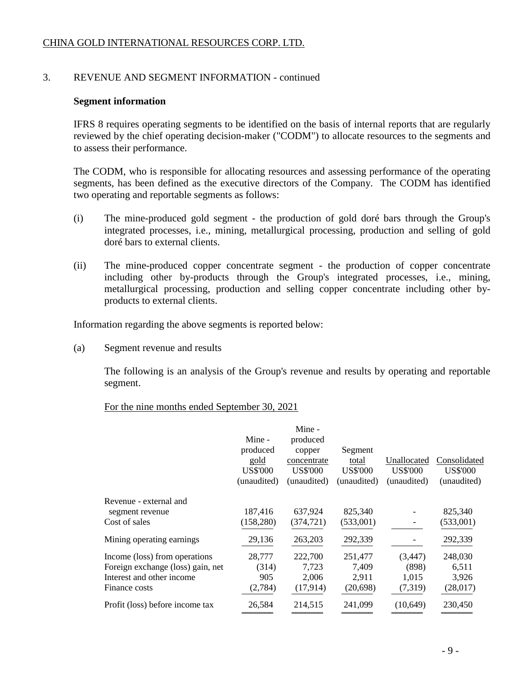# 3. REVENUE AND SEGMENT INFORMATION - continued

### **Segment information**

IFRS 8 requires operating segments to be identified on the basis of internal reports that are regularly reviewed by the chief operating decision-maker ("CODM") to allocate resources to the segments and to assess their performance.

The CODM, who is responsible for allocating resources and assessing performance of the operating segments, has been defined as the executive directors of the Company. The CODM has identified two operating and reportable segments as follows:

- (i) The mine-produced gold segment the production of gold doré bars through the Group's integrated processes, i.e., mining, metallurgical processing, production and selling of gold doré bars to external clients.
- (ii) The mine-produced copper concentrate segment the production of copper concentrate including other by-products through the Group's integrated processes, i.e., mining, metallurgical processing, production and selling copper concentrate including other byproducts to external clients.

Information regarding the above segments is reported below:

(a) Segment revenue and results

The following is an analysis of the Group's revenue and results by operating and reportable segment.

### For the nine months ended September 30, 2021

|                                   | Mine -<br>produced<br>gold<br><b>US\$'000</b><br>(unaudited) | Mine -<br>produced<br>copper<br>concentrate<br><b>US\$'000</b><br>(unaudited) | Segment<br>total<br><b>US\$'000</b><br>(unaudited) | Unallocated<br><b>US\$'000</b><br>(unaudited) | Consolidated<br><b>US\$'000</b><br>(unaudited) |
|-----------------------------------|--------------------------------------------------------------|-------------------------------------------------------------------------------|----------------------------------------------------|-----------------------------------------------|------------------------------------------------|
| Revenue - external and            |                                                              |                                                                               |                                                    |                                               |                                                |
| segment revenue                   | 187,416                                                      | 637,924                                                                       | 825,340                                            |                                               | 825,340                                        |
| Cost of sales                     | (158, 280)                                                   | (374, 721)                                                                    | (533,001)                                          |                                               | (533,001)                                      |
| Mining operating earnings         | 29,136                                                       | 263,203                                                                       | 292,339                                            |                                               | 292,339                                        |
| Income (loss) from operations     | 28,777                                                       | 222,700                                                                       | 251,477                                            | (3, 447)                                      | 248,030                                        |
| Foreign exchange (loss) gain, net | (314)                                                        | 7,723                                                                         | 7,409                                              | (898)                                         | 6,511                                          |
| Interest and other income         | 905                                                          | 2,006                                                                         | 2,911                                              | 1,015                                         | 3,926                                          |
| Finance costs                     | (2,784)                                                      | (17,914)                                                                      | (20, 698)                                          | (7,319)                                       | (28,017)                                       |
| Profit (loss) before income tax   | 26,584                                                       | 214,515                                                                       | 241,099                                            | (10, 649)                                     | 230,450                                        |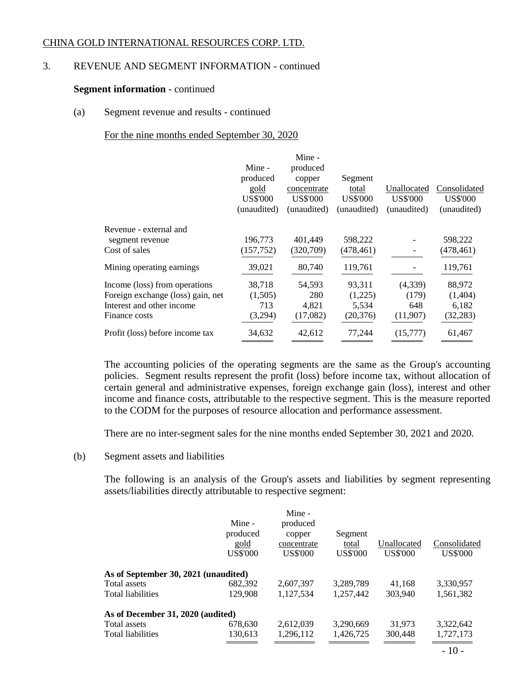# 3. REVENUE AND SEGMENT INFORMATION - continued

### **Segment information** - continued

### (a) Segment revenue and results - continued

# For the nine months ended September 30, 2020

|                                   |                 | Mine -          |                 |                 |                 |
|-----------------------------------|-----------------|-----------------|-----------------|-----------------|-----------------|
|                                   | Mine -          | produced        |                 |                 |                 |
|                                   | produced        | copper          | Segment         |                 |                 |
|                                   | gold            | concentrate     | total           | Unallocated     | Consolidated    |
|                                   | <b>US\$'000</b> | <b>US\$'000</b> | <b>US\$'000</b> | <b>US\$'000</b> | <b>US\$'000</b> |
|                                   | (unaudited)     | (unaudited)     | (unaudited)     | (unaudited)     | (unaudited)     |
| Revenue - external and            |                 |                 |                 |                 |                 |
| segment revenue                   | 196,773         | 401,449         | 598,222         |                 | 598,222         |
| Cost of sales                     | (157, 752)      | (320,709)       | (478,461)       |                 | (478, 461)      |
| Mining operating earnings         | 39,021          | 80,740          | 119,761         |                 | 119,761         |
| Income (loss) from operations     | 38,718          | 54,593          | 93,311          | (4,339)         | 88,972          |
| Foreign exchange (loss) gain, net | (1,505)         | 280             | (1,225)         | (179)           | (1,404)         |
| Interest and other income         | 713             | 4,821           | 5,534           | 648             | 6,182           |
| Finance costs                     | (3,294)         | (17,082)        | (20, 376)       | (11,907)        | (32, 283)       |
| Profit (loss) before income tax   | 34,632          | 42,612          | 77,244          | (15,777)        | 61,467          |
|                                   |                 |                 |                 |                 |                 |

The accounting policies of the operating segments are the same as the Group's accounting policies. Segment results represent the profit (loss) before income tax, without allocation of certain general and administrative expenses, foreign exchange gain (loss), interest and other income and finance costs, attributable to the respective segment. This is the measure reported to the CODM for the purposes of resource allocation and performance assessment.

There are no inter-segment sales for the nine months ended September 30, 2021 and 2020.

### (b) Segment assets and liabilities

The following is an analysis of the Group's assets and liabilities by segment representing assets/liabilities directly attributable to respective segment:

|                                      | Mine -<br>produced<br>gold<br><b>US\$'000</b> | Mine -<br>produced<br>copper<br>concentrate<br><b>US\$'000</b> | Segment<br>total<br><b>US\$'000</b> | Unallocated<br><b>US\$'000</b> | Consolidated<br><b>US\$'000</b> |
|--------------------------------------|-----------------------------------------------|----------------------------------------------------------------|-------------------------------------|--------------------------------|---------------------------------|
|                                      |                                               |                                                                |                                     |                                |                                 |
| As of September 30, 2021 (unaudited) |                                               |                                                                |                                     |                                |                                 |
| Total assets                         | 682,392                                       | 2,607,397                                                      | 3,289,789                           | 41.168                         | 3,330,957                       |
| <b>Total liabilities</b>             | 129,908                                       | 1,127,534                                                      | 1,257,442                           | 303.940                        | 1,561,382                       |
| As of December 31, 2020 (audited)    |                                               |                                                                |                                     |                                |                                 |
| Total assets                         | 678,630                                       | 2.612.039                                                      | 3,290,669                           | 31.973                         | 3,322,642                       |
| <b>Total liabilities</b>             | 130,613                                       | 1,296,112                                                      | 1,426,725                           | 300,448                        | 1,727,173                       |
|                                      |                                               |                                                                |                                     |                                | $-10-$                          |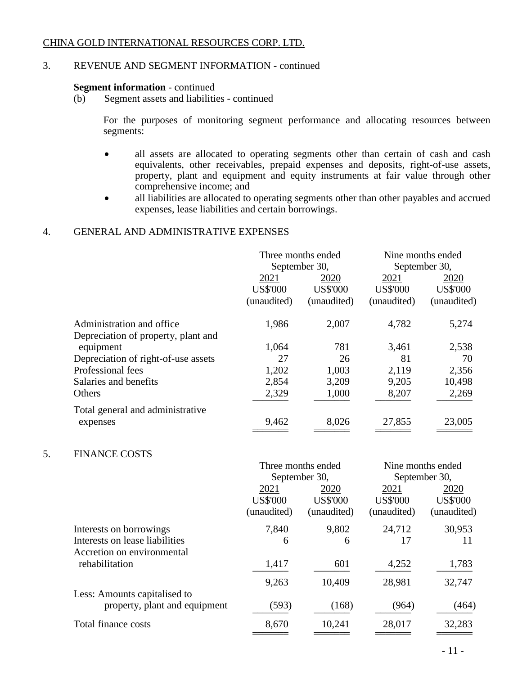# 3. REVENUE AND SEGMENT INFORMATION - continued

# **Segment information** - continued<br>(b) Segment assets and liabilities

Segment assets and liabilities - continued

For the purposes of monitoring segment performance and allocating resources between segments:

- all assets are allocated to operating segments other than certain of cash and cash equivalents, other receivables, prepaid expenses and deposits, right-of-use assets, property, plant and equipment and equity instruments at fair value through other comprehensive income; and
- all liabilities are allocated to operating segments other than other payables and accrued expenses, lease liabilities and certain borrowings.

# 4. GENERAL AND ADMINISTRATIVE EXPENSES

|                                     | Three months ended<br>September 30, |                 | Nine months ended<br>September 30, |                 |
|-------------------------------------|-------------------------------------|-----------------|------------------------------------|-----------------|
|                                     | 2021                                | 2020            | 2021                               | 2020            |
|                                     | <b>US\$'000</b>                     | <b>US\$'000</b> | <b>US\$'000</b>                    | <b>US\$'000</b> |
|                                     | (unaudited)                         | (unaudited)     | (unaudited)                        | (unaudited)     |
| Administration and office.          | 1,986                               | 2,007           | 4,782                              | 5,274           |
| Depreciation of property, plant and |                                     |                 |                                    |                 |
| equipment                           | 1,064                               | 781             | 3,461                              | 2,538           |
| Depreciation of right-of-use assets | 27                                  | 26              | 81                                 | 70              |
| Professional fees                   | 1,202                               | 1,003           | 2,119                              | 2,356           |
| Salaries and benefits               | 2,854                               | 3,209           | 9,205                              | 10,498          |
| Others                              | 2,329                               | 1,000           | 8,207                              | 2,269           |
| Total general and administrative    |                                     |                 |                                    |                 |
| expenses                            | 9,462                               | 8,026           | 27,855                             | 23,005          |

# 5. FINANCE COSTS

|                                                              |                 | Three months ended | Nine months ended |                 |
|--------------------------------------------------------------|-----------------|--------------------|-------------------|-----------------|
|                                                              | September 30,   |                    |                   | September 30,   |
|                                                              | 2021            | 2020               | 2021              | 2020            |
|                                                              | <b>US\$'000</b> | <b>US\$'000</b>    | <b>US\$'000</b>   | <b>US\$'000</b> |
|                                                              | (unaudited)     | (unaudited)        | (unaudited)       | (unaudited)     |
| Interests on borrowings                                      | 7,840           | 9,802              | 24,712            | 30,953          |
| Interests on lease liabilities<br>Accretion on environmental | 6               | 6                  | 17                | 11              |
| rehabilitation                                               | 1,417           | 601                | 4,252             | 1,783           |
| Less: Amounts capitalised to                                 | 9,263           | 10,409             | 28,981            | 32,747          |
| property, plant and equipment                                | (593)           | (168)              | (964)             | (464)           |
| Total finance costs                                          | 8,670           | 10,241             | 28,017            | 32,283          |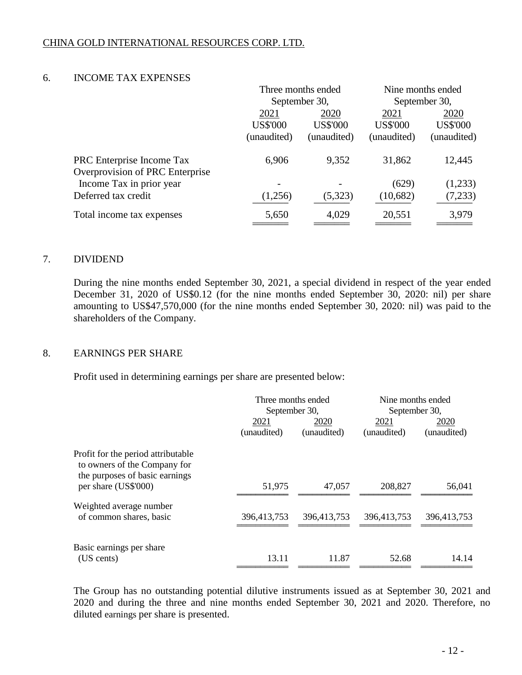# 6. INCOME TAX EXPENSES

|                 |                 | Nine months ended  |                 |
|-----------------|-----------------|--------------------|-----------------|
| September 30,   |                 | September 30,      |                 |
| 2021<br>2020    | 2021            | 2020               |                 |
| <b>US\$'000</b> | <b>US\$'000</b> | <b>US\$'000</b>    | <b>US\$'000</b> |
| (unaudited)     | (unaudited)     | (unaudited)        | (unaudited)     |
| 6,906           | 9,352           | 31,862             | 12,445          |
|                 |                 |                    |                 |
|                 |                 | (629)              | (1,233)         |
| (1,256)         | (5,323)         | (10,682)           | (7,233)         |
| 5,650           | 4,029           | 20,551             | 3,979           |
|                 |                 | Three months ended |                 |

### 7. DIVIDEND

During the nine months ended September 30, 2021, a special dividend in respect of the year ended December 31, 2020 of US\$0.12 (for the nine months ended September 30, 2020: nil) per share amounting to US\$47,570,000 (for the nine months ended September 30, 2020: nil) was paid to the shareholders of the Company.

### 8. EARNINGS PER SHARE

Profit used in determining earnings per share are presented below:

|                                                                                                      | Three months ended<br>September 30, |             | Nine months ended<br>September 30, |             |
|------------------------------------------------------------------------------------------------------|-------------------------------------|-------------|------------------------------------|-------------|
|                                                                                                      |                                     |             |                                    |             |
|                                                                                                      | 2021                                | 2020        | 2021                               | 2020        |
|                                                                                                      | (unaudited)                         | (unaudited) | (unaudited)                        | (unaudited) |
| Profit for the period attributable<br>to owners of the Company for<br>the purposes of basic earnings |                                     |             |                                    |             |
| per share (US\$'000)                                                                                 | 51,975                              | 47,057      | 208,827                            | 56,041      |
| Weighted average number                                                                              |                                     |             |                                    |             |
| of common shares, basic                                                                              | 396,413,753                         | 396,413,753 | 396,413,753                        | 396,413,753 |
| Basic earnings per share                                                                             |                                     |             |                                    |             |
| (US cents)                                                                                           | 13.11                               | 11.87       | 52.68                              | 14.14       |

The Group has no outstanding potential dilutive instruments issued as at September 30, 2021 and 2020 and during the three and nine months ended September 30, 2021 and 2020. Therefore, no diluted earnings per share is presented.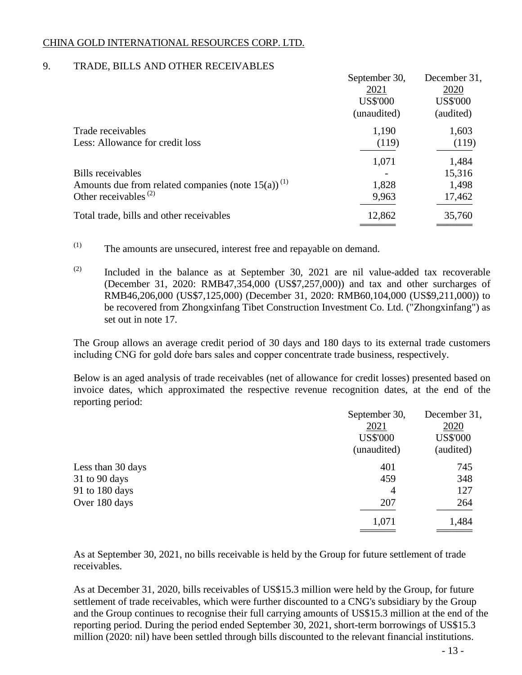# 9. TRADE, BILLS AND OTHER RECEIVABLES

|                                                                   | September 30,   | December 31,    |
|-------------------------------------------------------------------|-----------------|-----------------|
|                                                                   | 2021            | 2020            |
|                                                                   | <b>US\$'000</b> | <b>US\$'000</b> |
|                                                                   | (unaudited)     | (audited)       |
| Trade receivables                                                 | 1,190           | 1,603           |
| Less: Allowance for credit loss                                   | (119)           | (119)           |
|                                                                   | 1,071           | 1,484           |
| Bills receivables                                                 |                 | 15,316          |
| Amounts due from related companies (note $15(a)$ ) <sup>(1)</sup> | 1,828           | 1,498           |
| Other receivables $(2)$                                           | 9,963           | 17,462          |
| Total trade, bills and other receivables                          | 12,862          | 35,760          |
|                                                                   |                 |                 |

- (1) The amounts are unsecured, interest free and repayable on demand.
- $(2)$  Included in the balance as at September 30, 2021 are nil value-added tax recoverable (December 31, 2020: RMB47,354,000 (US\$7,257,000)) and tax and other surcharges of RMB46,206,000 (US\$7,125,000) (December 31, 2020: RMB60,104,000 (US\$9,211,000)) to be recovered from Zhongxinfang Tibet Construction Investment Co. Ltd. ("Zhongxinfang") as set out in note 17.

The Group allows an average credit period of 30 days and 180 days to its external trade customers including CNG for gold doŕe bars sales and copper concentrate trade business, respectively.

Below is an aged analysis of trade receivables (net of allowance for credit losses) presented based on invoice dates, which approximated the respective revenue recognition dates, at the end of the reporting period:

|                   | September 30,   | December 31,    |
|-------------------|-----------------|-----------------|
|                   | 2021            | 2020            |
|                   | <b>US\$'000</b> | <b>US\$'000</b> |
|                   | (unaudited)     | (audited)       |
| Less than 30 days | 401             | 745             |
| 31 to 90 days     | 459             | 348             |
| 91 to 180 days    | $\overline{4}$  | 127             |
| Over 180 days     | 207             | 264             |
|                   | 1,071           | 1,484           |
|                   |                 |                 |

As at September 30, 2021, no bills receivable is held by the Group for future settlement of trade receivables.

As at December 31, 2020, bills receivables of US\$15.3 million were held by the Group, for future settlement of trade receivables, which were further discounted to a CNG's subsidiary by the Group and the Group continues to recognise their full carrying amounts of US\$15.3 million at the end of the reporting period. During the period ended September 30, 2021, short-term borrowings of US\$15.3 million (2020: nil) have been settled through bills discounted to the relevant financial institutions.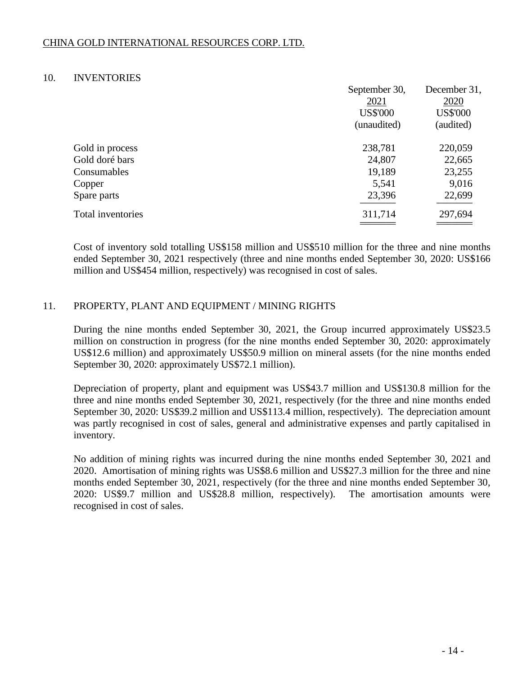### 10. INVENTORIES

|                   | September 30,   | December 31,    |
|-------------------|-----------------|-----------------|
|                   | 2021            | 2020            |
|                   | <b>US\$'000</b> | <b>US\$'000</b> |
|                   | (unaudited)     | (audited)       |
| Gold in process   | 238,781         | 220,059         |
| Gold doré bars    | 24,807          | 22,665          |
| Consumables       | 19,189          | 23,255          |
| Copper            | 5,541           | 9,016           |
| Spare parts       | 23,396          | 22,699          |
| Total inventories | 311,714         | 297,694         |
|                   |                 |                 |

Cost of inventory sold totalling US\$158 million and US\$510 million for the three and nine months ended September 30, 2021 respectively (three and nine months ended September 30, 2020: US\$166 million and US\$454 million, respectively) was recognised in cost of sales.

# 11. PROPERTY, PLANT AND EQUIPMENT / MINING RIGHTS

During the nine months ended September 30, 2021, the Group incurred approximately US\$23.5 million on construction in progress (for the nine months ended September 30, 2020: approximately US\$12.6 million) and approximately US\$50.9 million on mineral assets (for the nine months ended September 30, 2020: approximately US\$72.1 million).

Depreciation of property, plant and equipment was US\$43.7 million and US\$130.8 million for the three and nine months ended September 30, 2021, respectively (for the three and nine months ended September 30, 2020: US\$39.2 million and US\$113.4 million, respectively). The depreciation amount was partly recognised in cost of sales, general and administrative expenses and partly capitalised in inventory.

No addition of mining rights was incurred during the nine months ended September 30, 2021 and 2020. Amortisation of mining rights was US\$8.6 million and US\$27.3 million for the three and nine months ended September 30, 2021, respectively (for the three and nine months ended September 30, 2020: US\$9.7 million and US\$28.8 million, respectively). The amortisation amounts were recognised in cost of sales.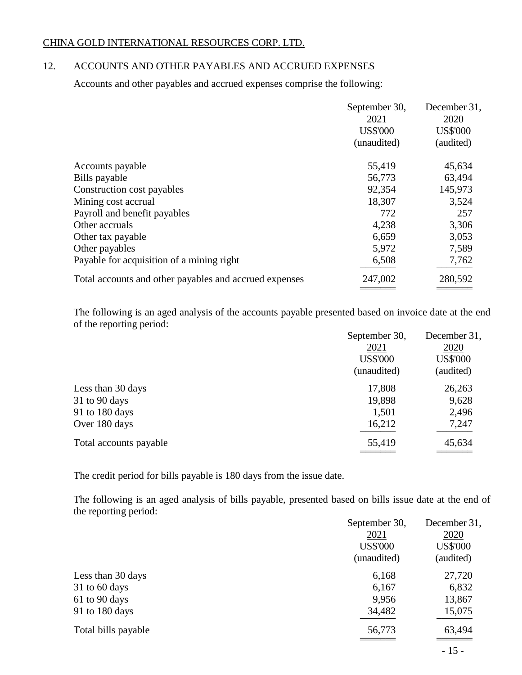# 12. ACCOUNTS AND OTHER PAYABLES AND ACCRUED EXPENSES

Accounts and other payables and accrued expenses comprise the following:

|                                                        | September 30,           | December 31,<br>2020 |
|--------------------------------------------------------|-------------------------|----------------------|
|                                                        | 2021<br><b>US\$'000</b> | <b>US\$'000</b>      |
|                                                        | (unaudited)             | (audited)            |
| Accounts payable                                       | 55,419                  | 45,634               |
| Bills payable                                          | 56,773                  | 63,494               |
| Construction cost payables                             | 92,354                  | 145,973              |
| Mining cost accrual                                    | 18,307                  | 3,524                |
| Payroll and benefit payables                           | 772                     | 257                  |
| Other accruals                                         | 4,238                   | 3,306                |
| Other tax payable                                      | 6,659                   | 3,053                |
| Other payables                                         | 5,972                   | 7,589                |
| Payable for acquisition of a mining right              | 6,508                   | 7,762                |
| Total accounts and other payables and accrued expenses | 247,002                 | 280,592              |
|                                                        |                         |                      |

The following is an aged analysis of the accounts payable presented based on invoice date at the end of the reporting period:

|                        | September 30,   | December 31,    |
|------------------------|-----------------|-----------------|
|                        | 2021            | 2020            |
|                        | <b>US\$'000</b> | <b>US\$'000</b> |
|                        | (unaudited)     | (audited)       |
| Less than 30 days      | 17,808          | 26,263          |
| $31$ to 90 days        | 19,898          | 9,628           |
| 91 to 180 days         | 1,501           | 2,496           |
| Over 180 days          | 16,212          | 7,247           |
| Total accounts payable | 55,419          | 45,634          |
|                        |                 |                 |

The credit period for bills payable is 180 days from the issue date.

The following is an aged analysis of bills payable, presented based on bills issue date at the end of the reporting period:

|                     | September 30,   | December 31,    |
|---------------------|-----------------|-----------------|
|                     | 2021            | 2020            |
|                     | <b>US\$'000</b> | <b>US\$'000</b> |
|                     | (unaudited)     | (audited)       |
| Less than 30 days   | 6,168           | 27,720          |
| $31$ to 60 days     | 6,167           | 6,832           |
| 61 to 90 days       | 9,956           | 13,867          |
| 91 to 180 days      | 34,482          | 15,075          |
| Total bills payable | 56,773          | 63,494          |
|                     |                 | $-15-$          |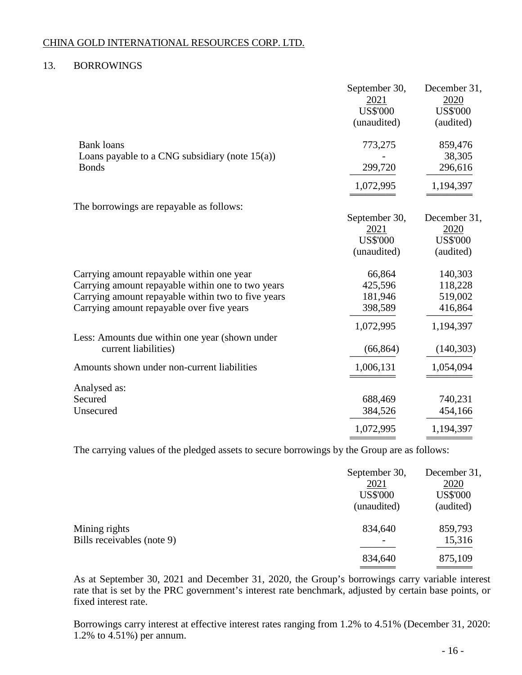# 13. BORROWINGS

|                                                    | September 30,   | December 31,    |
|----------------------------------------------------|-----------------|-----------------|
|                                                    | 2021            | 2020            |
|                                                    | <b>US\$'000</b> | <b>US\$'000</b> |
|                                                    | (unaudited)     | (audited)       |
| <b>Bank loans</b>                                  | 773,275         | 859,476         |
| Loans payable to a CNG subsidiary (note $15(a)$ )  |                 | 38,305          |
| <b>Bonds</b>                                       | 299,720         | 296,616         |
|                                                    | 1,072,995       | 1,194,397       |
| The borrowings are repayable as follows:           |                 |                 |
|                                                    | September 30,   | December 31,    |
|                                                    | 2021            | 2020            |
|                                                    | <b>US\$'000</b> | <b>US\$'000</b> |
|                                                    | (unaudited)     | (audited)       |
| Carrying amount repayable within one year          | 66,864          | 140,303         |
| Carrying amount repayable within one to two years  | 425,596         | 118,228         |
| Carrying amount repayable within two to five years | 181,946         | 519,002         |
| Carrying amount repayable over five years          | 398,589         | 416,864         |
|                                                    | 1,072,995       | 1,194,397       |
| Less: Amounts due within one year (shown under     |                 |                 |
| current liabilities)                               | (66, 864)       | (140, 303)      |
| Amounts shown under non-current liabilities        | 1,006,131       | 1,054,094       |
| Analysed as:                                       |                 |                 |
| Secured                                            | 688,469         | 740,231         |
| Unsecured                                          | 384,526         | 454,166         |
|                                                    | 1,072,995       | 1,194,397       |
|                                                    |                 |                 |

The carrying values of the pledged assets to secure borrowings by the Group are as follows:

|                                             | September 30,<br><u>2021</u><br><b>US\$'000</b><br>(unaudited) | December 31,<br>2020<br><b>US\$'000</b><br>(audited) |
|---------------------------------------------|----------------------------------------------------------------|------------------------------------------------------|
| Mining rights<br>Bills receivables (note 9) | 834,640<br>$\overline{\phantom{m}}$                            | 859,793<br>15,316                                    |
|                                             | 834,640                                                        | 875,109                                              |

As at September 30, 2021 and December 31, 2020, the Group's borrowings carry variable interest rate that is set by the PRC government's interest rate benchmark, adjusted by certain base points, or fixed interest rate.

Borrowings carry interest at effective interest rates ranging from 1.2% to 4.51% (December 31, 2020: 1.2% to 4.51%) per annum.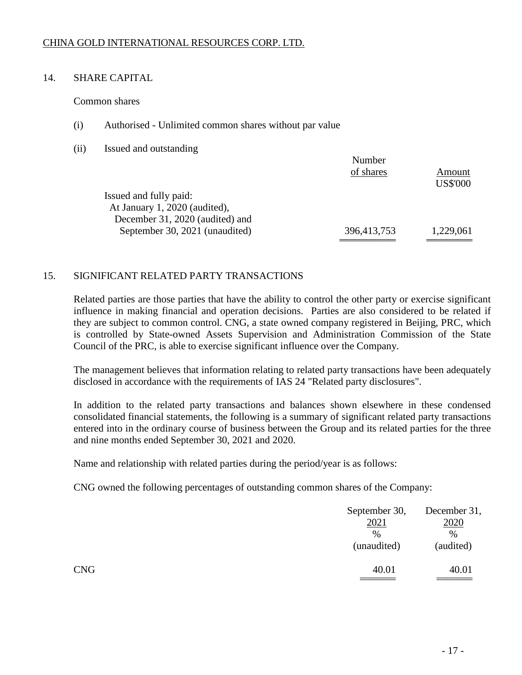# 14. SHARE CAPITAL

Common shares

- (i) Authorised Unlimited common shares without par value
- (ii) Issued and outstanding

|                                 | Number      |                 |
|---------------------------------|-------------|-----------------|
|                                 | of shares   | Amount          |
|                                 |             | <b>US\$'000</b> |
| Issued and fully paid:          |             |                 |
| At January 1, 2020 (audited),   |             |                 |
| December 31, 2020 (audited) and |             |                 |
| September 30, 2021 (unaudited)  | 396,413,753 | 1,229,061       |
|                                 |             |                 |

Number

# 15. SIGNIFICANT RELATED PARTY TRANSACTIONS

Related parties are those parties that have the ability to control the other party or exercise significant influence in making financial and operation decisions. Parties are also considered to be related if they are subject to common control. CNG, a state owned company registered in Beijing, PRC, which is controlled by State-owned Assets Supervision and Administration Commission of the State Council of the PRC, is able to exercise significant influence over the Company.

The management believes that information relating to related party transactions have been adequately disclosed in accordance with the requirements of IAS 24 "Related party disclosures".

In addition to the related party transactions and balances shown elsewhere in these condensed consolidated financial statements, the following is a summary of significant related party transactions entered into in the ordinary course of business between the Group and its related parties for the three and nine months ended September 30, 2021 and 2020.

Name and relationship with related parties during the period/year is as follows:

CNG owned the following percentages of outstanding common shares of the Company:

|            | September 30,<br>2021<br>$\%$<br>(unaudited) | December 31,<br>2020<br>%<br>(audited) |
|------------|----------------------------------------------|----------------------------------------|
| <b>CNG</b> | 40.01                                        | 40.01                                  |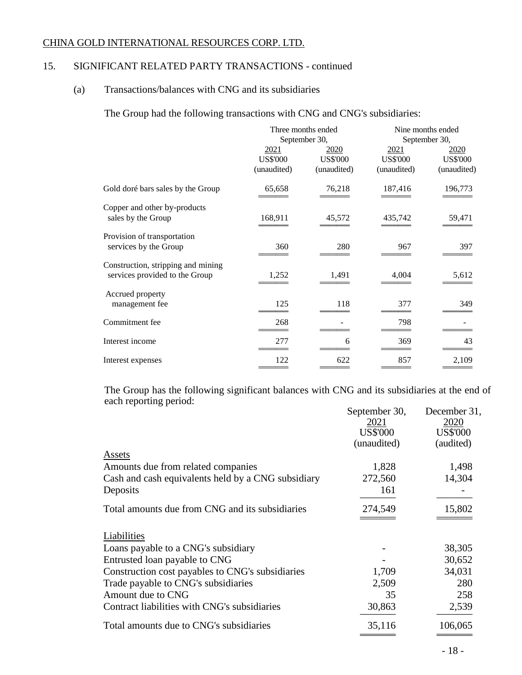# 15. SIGNIFICANT RELATED PARTY TRANSACTIONS - continued

# (a) Transactions/balances with CNG and its subsidiaries

The Group had the following transactions with CNG and CNG's subsidiaries:

|                                    | Three months ended |                 | Nine months ended |                 |  |
|------------------------------------|--------------------|-----------------|-------------------|-----------------|--|
|                                    |                    | September 30,   |                   | September 30,   |  |
|                                    | <u>2021</u>        | <u>2020</u>     | 2021              | <u>2020</u>     |  |
|                                    | <b>US\$'000</b>    | <b>US\$'000</b> | <b>US\$'000</b>   | <b>US\$'000</b> |  |
|                                    | (unaudited)        | (unaudited)     | (unaudited)       | (unaudited)     |  |
| Gold doré bars sales by the Group  | 65,658             | 76,218          | 187,416           | 196,773         |  |
| Copper and other by-products       |                    |                 |                   |                 |  |
| sales by the Group                 | 168,911            | 45,572          | 435,742           | 59,471          |  |
| Provision of transportation        |                    |                 |                   |                 |  |
| services by the Group              | 360                | 280             | 967               | 397             |  |
| Construction, stripping and mining |                    |                 |                   |                 |  |
| services provided to the Group     | 1,252              | 1,491           | 4,004             | 5,612           |  |
| Accrued property                   |                    |                 |                   |                 |  |
| management fee                     | 125                | 118             | 377               | 349             |  |
| Commitment fee                     | 268                |                 | 798               |                 |  |
| Interest income                    | 277                | 6               | 369               | 43              |  |
| Interest expenses                  | 122                | 622             | 857               | 2,109           |  |
|                                    |                    |                 |                   |                 |  |

The Group has the following significant balances with CNG and its subsidiaries at the end of each reporting period:

|                                                    | September 30,   | December 31,    |
|----------------------------------------------------|-----------------|-----------------|
|                                                    | 2021            | 2020            |
|                                                    | <b>US\$'000</b> | <b>US\$'000</b> |
|                                                    | (unaudited)     | (audited)       |
| Assets                                             |                 |                 |
| Amounts due from related companies                 | 1,828           | 1,498           |
| Cash and cash equivalents held by a CNG subsidiary | 272,560         | 14,304          |
| Deposits                                           | 161             |                 |
| Total amounts due from CNG and its subsidiaries    | 274,549         | 15,802          |
|                                                    |                 |                 |
| Liabilities                                        |                 |                 |
| Loans payable to a CNG's subsidiary                |                 | 38,305          |
| Entrusted loan payable to CNG                      |                 | 30,652          |
| Construction cost payables to CNG's subsidiaries   | 1,709           | 34,031          |
| Trade payable to CNG's subsidiaries                | 2,509           | 280             |
| Amount due to CNG                                  | 35              | 258             |
| Contract liabilities with CNG's subsidiaries       | 30,863          | 2,539           |
| Total amounts due to CNG's subsidiaries            | 35,116          | 106,065         |
|                                                    |                 |                 |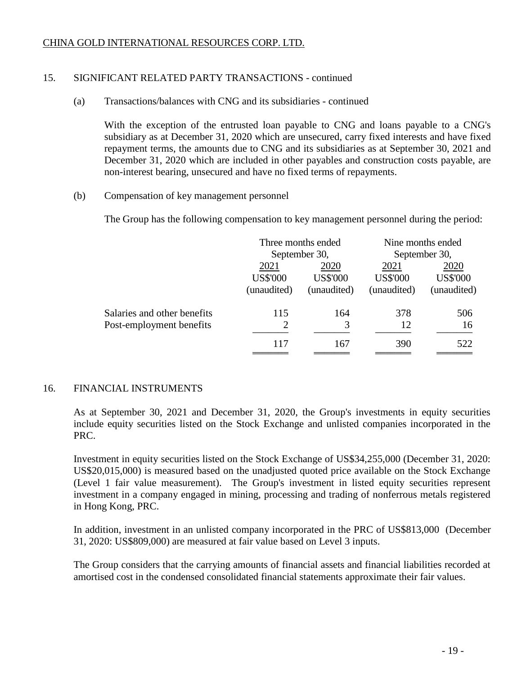# 15. SIGNIFICANT RELATED PARTY TRANSACTIONS - continued

### (a) Transactions/balances with CNG and its subsidiaries - continued

With the exception of the entrusted loan payable to CNG and loans payable to a CNG's subsidiary as at December 31, 2020 which are unsecured, carry fixed interests and have fixed repayment terms, the amounts due to CNG and its subsidiaries as at September 30, 2021 and December 31, 2020 which are included in other payables and construction costs payable, are non-interest bearing, unsecured and have no fixed terms of repayments.

(b) Compensation of key management personnel

The Group has the following compensation to key management personnel during the period:

|                             | Three months ended |                 | Nine months ended |                 |  |
|-----------------------------|--------------------|-----------------|-------------------|-----------------|--|
|                             |                    | September 30,   |                   | September 30,   |  |
|                             | 2021               | 2020            | 2021              | 2020            |  |
|                             | <b>US\$'000</b>    | <b>US\$'000</b> | <b>US\$'000</b>   | <b>US\$'000</b> |  |
|                             | (unaudited)        | (unaudited)     | (unaudited)       | (unaudited)     |  |
| Salaries and other benefits | 115                | 164             | 378               | 506             |  |
| Post-employment benefits    | $\overline{2}$     | 3               | 12                | 16              |  |
|                             | 117                | 167             | 390               | 522             |  |
|                             |                    |                 |                   |                 |  |

### 16. FINANCIAL INSTRUMENTS

As at September 30, 2021 and December 31, 2020, the Group's investments in equity securities include equity securities listed on the Stock Exchange and unlisted companies incorporated in the PRC.

Investment in equity securities listed on the Stock Exchange of US\$34,255,000 (December 31, 2020: US\$20,015,000) is measured based on the unadjusted quoted price available on the Stock Exchange (Level 1 fair value measurement). The Group's investment in listed equity securities represent investment in a company engaged in mining, processing and trading of nonferrous metals registered in Hong Kong, PRC.

In addition, investment in an unlisted company incorporated in the PRC of US\$813,000 (December 31, 2020: US\$809,000) are measured at fair value based on Level 3 inputs.

The Group considers that the carrying amounts of financial assets and financial liabilities recorded at amortised cost in the condensed consolidated financial statements approximate their fair values.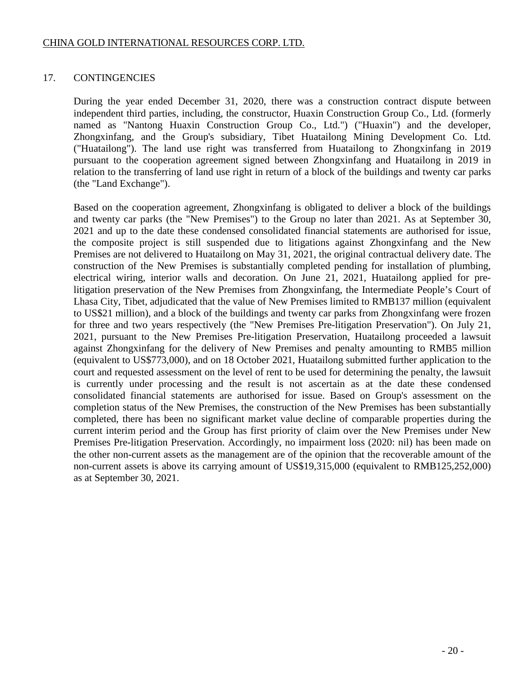# 17. CONTINGENCIES

During the year ended December 31, 2020, there was a construction contract dispute between independent third parties, including, the constructor, Huaxin Construction Group Co., Ltd. (formerly named as "Nantong Huaxin Construction Group Co., Ltd.") ("Huaxin") and the developer, Zhongxinfang, and the Group's subsidiary, Tibet Huatailong Mining Development Co. Ltd. ("Huatailong"). The land use right was transferred from Huatailong to Zhongxinfang in 2019 pursuant to the cooperation agreement signed between Zhongxinfang and Huatailong in 2019 in relation to the transferring of land use right in return of a block of the buildings and twenty car parks (the "Land Exchange").

Based on the cooperation agreement, Zhongxinfang is obligated to deliver a block of the buildings and twenty car parks (the "New Premises") to the Group no later than 2021. As at September 30, 2021 and up to the date these condensed consolidated financial statements are authorised for issue, the composite project is still suspended due to litigations against Zhongxinfang and the New Premises are not delivered to Huatailong on May 31, 2021, the original contractual delivery date. The construction of the New Premises is substantially completed pending for installation of plumbing, electrical wiring, interior walls and decoration. On June 21, 2021, Huatailong applied for prelitigation preservation of the New Premises from Zhongxinfang, the Intermediate People's Court of Lhasa City, Tibet, adjudicated that the value of New Premises limited to RMB137 million (equivalent to US\$21 million), and a block of the buildings and twenty car parks from Zhongxinfang were frozen for three and two years respectively (the "New Premises Pre-litigation Preservation"). On July 21, 2021, pursuant to the New Premises Pre-litigation Preservation, Huatailong proceeded a lawsuit against Zhongxinfang for the delivery of New Premises and penalty amounting to RMB5 million (equivalent to US\$773,000), and on 18 October 2021, Huatailong submitted further application to the court and requested assessment on the level of rent to be used for determining the penalty, the lawsuit is currently under processing and the result is not ascertain as at the date these condensed consolidated financial statements are authorised for issue. Based on Group's assessment on the completion status of the New Premises, the construction of the New Premises has been substantially completed, there has been no significant market value decline of comparable properties during the current interim period and the Group has first priority of claim over the New Premises under New Premises Pre-litigation Preservation. Accordingly, no impairment loss (2020: nil) has been made on the other non-current assets as the management are of the opinion that the recoverable amount of the non-current assets is above its carrying amount of US\$19,315,000 (equivalent to RMB125,252,000) as at September 30, 2021.